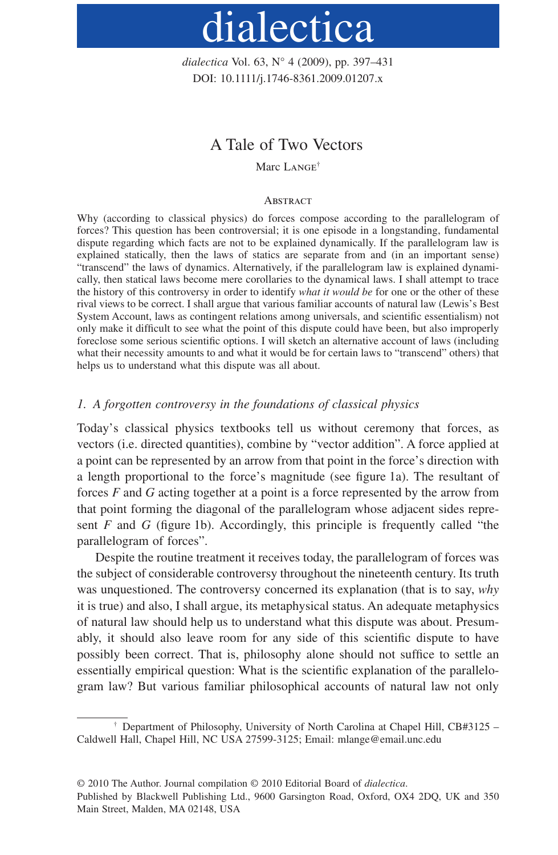

*dialectica* Vol. 63, N° 4 (2009), pp. 397–431 DOI: 10.1111/j.1746-8361.2009.01207.x

# A Tale of Two Vectors

### Marc LANGE<sup>†</sup>

#### **ABSTRACT**

Why (according to classical physics) do forces compose according to the parallelogram of forces? This question has been controversial; it is one episode in a longstanding, fundamental dispute regarding which facts are not to be explained dynamically. If the parallelogram law is explained statically, then the laws of statics are separate from and (in an important sense) "transcend" the laws of dynamics. Alternatively, if the parallelogram law is explained dynamically, then statical laws become mere corollaries to the dynamical laws. I shall attempt to trace the history of this controversy in order to identify *what it would be* for one or the other of these rival views to be correct. I shall argue that various familiar accounts of natural law (Lewis's Best System Account, laws as contingent relations among universals, and scientific essentialism) not only make it difficult to see what the point of this dispute could have been, but also improperly foreclose some serious scientific options. I will sketch an alternative account of laws (including what their necessity amounts to and what it would be for certain laws to "transcend" others) that helps us to understand what this dispute was all about.

# *1. A forgotten controversy in the foundations of classical physics*

Today's classical physics textbooks tell us without ceremony that forces, as vectors (i.e. directed quantities), combine by "vector addition". A force applied at a point can be represented by an arrow from that point in the force's direction with a length proportional to the force's magnitude (see figure 1a). The resultant of forces *F* and *G* acting together at a point is a force represented by the arrow from that point forming the diagonal of the parallelogram whose adjacent sides represent *F* and *G* (figure 1b). Accordingly, this principle is frequently called "the parallelogram of forces".

Despite the routine treatment it receives today, the parallelogram of forces was the subject of considerable controversy throughout the nineteenth century. Its truth was unquestioned. The controversy concerned its explanation (that is to say, *why* it is true) and also, I shall argue, its metaphysical status. An adequate metaphysics of natural law should help us to understand what this dispute was about. Presumably, it should also leave room for any side of this scientific dispute to have possibly been correct. That is, philosophy alone should not suffice to settle an essentially empirical question: What is the scientific explanation of the parallelogram law? But various familiar philosophical accounts of natural law not only

<sup>†</sup> Department of Philosophy, University of North Carolina at Chapel Hill, CB#3125 – Caldwell Hall, Chapel Hill, NC USA 27599-3125; Email: mlange@email.unc.edu

<sup>© 2010</sup> The Author. Journal compilation © 2010 Editorial Board of *dialectica*.

Published by Blackwell Publishing Ltd., 9600 Garsington Road, Oxford, OX4 2DQ, UK and 350 Main Street, Malden, MA 02148, USA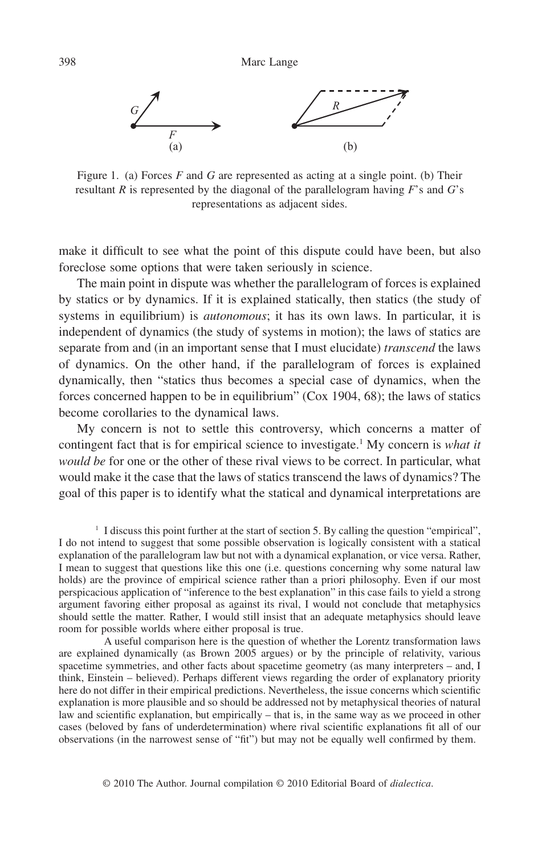

Figure 1. (a) Forces *F* and *G* are represented as acting at a single point. (b) Their resultant *R* is represented by the diagonal of the parallelogram having *F*'s and *G*'s representations as adjacent sides.

make it difficult to see what the point of this dispute could have been, but also foreclose some options that were taken seriously in science.

The main point in dispute was whether the parallelogram of forces is explained by statics or by dynamics. If it is explained statically, then statics (the study of systems in equilibrium) is *autonomous*; it has its own laws. In particular, it is independent of dynamics (the study of systems in motion); the laws of statics are separate from and (in an important sense that I must elucidate) *transcend* the laws of dynamics. On the other hand, if the parallelogram of forces is explained dynamically, then "statics thus becomes a special case of dynamics, when the forces concerned happen to be in equilibrium" (Cox 1904, 68); the laws of statics become corollaries to the dynamical laws.

My concern is not to settle this controversy, which concerns a matter of contingent fact that is for empirical science to investigate.1 My concern is *what it would be* for one or the other of these rival views to be correct. In particular, what would make it the case that the laws of statics transcend the laws of dynamics? The goal of this paper is to identify what the statical and dynamical interpretations are

A useful comparison here is the question of whether the Lorentz transformation laws are explained dynamically (as Brown 2005 argues) or by the principle of relativity, various spacetime symmetries, and other facts about spacetime geometry (as many interpreters – and, I think, Einstein – believed). Perhaps different views regarding the order of explanatory priority here do not differ in their empirical predictions. Nevertheless, the issue concerns which scientific explanation is more plausible and so should be addressed not by metaphysical theories of natural law and scientific explanation, but empirically – that is, in the same way as we proceed in other cases (beloved by fans of underdetermination) where rival scientific explanations fit all of our observations (in the narrowest sense of "fit") but may not be equally well confirmed by them.

<sup>&</sup>lt;sup>1</sup> I discuss this point further at the start of section 5. By calling the question "empirical", I do not intend to suggest that some possible observation is logically consistent with a statical explanation of the parallelogram law but not with a dynamical explanation, or vice versa. Rather, I mean to suggest that questions like this one (i.e. questions concerning why some natural law holds) are the province of empirical science rather than a priori philosophy. Even if our most perspicacious application of "inference to the best explanation" in this case fails to yield a strong argument favoring either proposal as against its rival, I would not conclude that metaphysics should settle the matter. Rather, I would still insist that an adequate metaphysics should leave room for possible worlds where either proposal is true.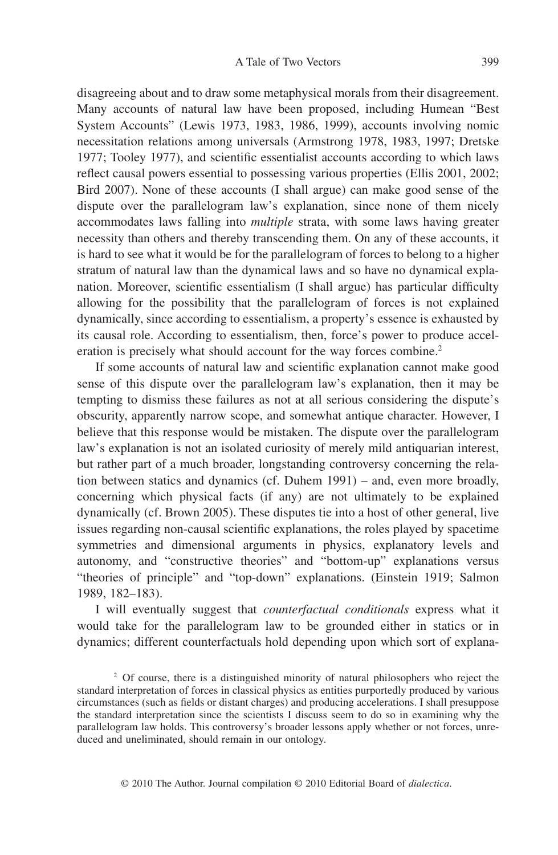disagreeing about and to draw some metaphysical morals from their disagreement. Many accounts of natural law have been proposed, including Humean "Best System Accounts" (Lewis 1973, 1983, 1986, 1999), accounts involving nomic necessitation relations among universals (Armstrong 1978, 1983, 1997; Dretske 1977; Tooley 1977), and scientific essentialist accounts according to which laws reflect causal powers essential to possessing various properties (Ellis 2001, 2002; Bird 2007). None of these accounts (I shall argue) can make good sense of the dispute over the parallelogram law's explanation, since none of them nicely accommodates laws falling into *multiple* strata, with some laws having greater necessity than others and thereby transcending them. On any of these accounts, it is hard to see what it would be for the parallelogram of forces to belong to a higher stratum of natural law than the dynamical laws and so have no dynamical explanation. Moreover, scientific essentialism (I shall argue) has particular difficulty allowing for the possibility that the parallelogram of forces is not explained dynamically, since according to essentialism, a property's essence is exhausted by its causal role. According to essentialism, then, force's power to produce acceleration is precisely what should account for the way forces combine.<sup>2</sup>

If some accounts of natural law and scientific explanation cannot make good sense of this dispute over the parallelogram law's explanation, then it may be tempting to dismiss these failures as not at all serious considering the dispute's obscurity, apparently narrow scope, and somewhat antique character. However, I believe that this response would be mistaken. The dispute over the parallelogram law's explanation is not an isolated curiosity of merely mild antiquarian interest, but rather part of a much broader, longstanding controversy concerning the relation between statics and dynamics (cf. Duhem 1991) – and, even more broadly, concerning which physical facts (if any) are not ultimately to be explained dynamically (cf. Brown 2005). These disputes tie into a host of other general, live issues regarding non-causal scientific explanations, the roles played by spacetime symmetries and dimensional arguments in physics, explanatory levels and autonomy, and "constructive theories" and "bottom-up" explanations versus "theories of principle" and "top-down" explanations. (Einstein 1919; Salmon 1989, 182–183).

I will eventually suggest that *counterfactual conditionals* express what it would take for the parallelogram law to be grounded either in statics or in dynamics; different counterfactuals hold depending upon which sort of explana-

<sup>2</sup> Of course, there is a distinguished minority of natural philosophers who reject the standard interpretation of forces in classical physics as entities purportedly produced by various circumstances (such as fields or distant charges) and producing accelerations. I shall presuppose the standard interpretation since the scientists I discuss seem to do so in examining why the parallelogram law holds. This controversy's broader lessons apply whether or not forces, unreduced and uneliminated, should remain in our ontology.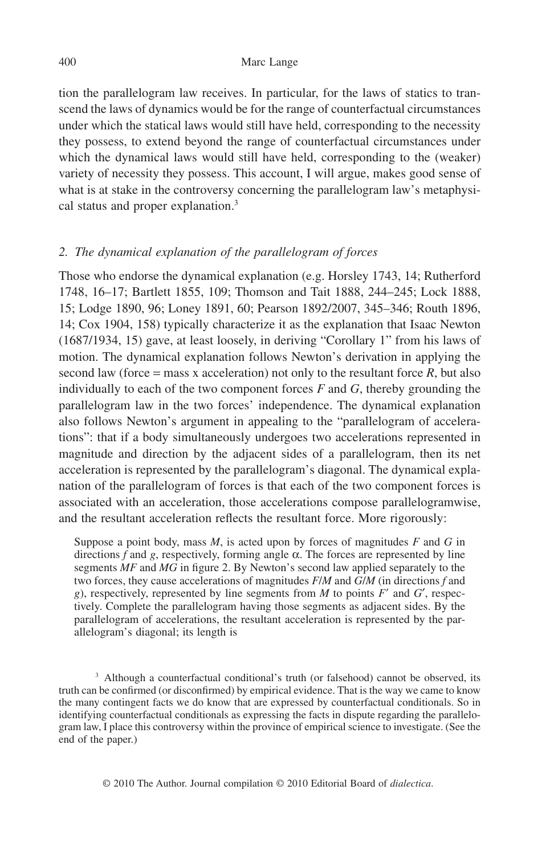tion the parallelogram law receives. In particular, for the laws of statics to transcend the laws of dynamics would be for the range of counterfactual circumstances under which the statical laws would still have held, corresponding to the necessity they possess, to extend beyond the range of counterfactual circumstances under which the dynamical laws would still have held, corresponding to the (weaker) variety of necessity they possess. This account, I will argue, makes good sense of what is at stake in the controversy concerning the parallelogram law's metaphysical status and proper explanation.<sup>3</sup>

## *2. The dynamical explanation of the parallelogram of forces*

Those who endorse the dynamical explanation (e.g. Horsley 1743, 14; Rutherford 1748, 16–17; Bartlett 1855, 109; Thomson and Tait 1888, 244–245; Lock 1888, 15; Lodge 1890, 96; Loney 1891, 60; Pearson 1892/2007, 345–346; Routh 1896, 14; Cox 1904, 158) typically characterize it as the explanation that Isaac Newton (1687/1934, 15) gave, at least loosely, in deriving "Corollary 1" from his laws of motion. The dynamical explanation follows Newton's derivation in applying the second law (force  $=$  mass x acceleration) not only to the resultant force  $R$ , but also individually to each of the two component forces *F* and *G*, thereby grounding the parallelogram law in the two forces' independence. The dynamical explanation also follows Newton's argument in appealing to the "parallelogram of accelerations": that if a body simultaneously undergoes two accelerations represented in magnitude and direction by the adjacent sides of a parallelogram, then its net acceleration is represented by the parallelogram's diagonal. The dynamical explanation of the parallelogram of forces is that each of the two component forces is associated with an acceleration, those accelerations compose parallelogramwise, and the resultant acceleration reflects the resultant force. More rigorously:

Suppose a point body, mass *M*, is acted upon by forces of magnitudes *F* and *G* in directions  $f$  and  $g$ , respectively, forming angle  $\alpha$ . The forces are represented by line segments *MF* and *MG* in figure 2. By Newton's second law applied separately to the two forces, they cause accelerations of magnitudes *F*/*M* and *G*/*M* (in directions *f* and *g*), respectively, represented by line segments from  $M$  to points  $F'$  and  $G'$ , respectively. Complete the parallelogram having those segments as adjacent sides. By the parallelogram of accelerations, the resultant acceleration is represented by the parallelogram's diagonal; its length is

<sup>3</sup> Although a counterfactual conditional's truth (or falsehood) cannot be observed, its truth can be confirmed (or disconfirmed) by empirical evidence. That is the way we came to know the many contingent facts we do know that are expressed by counterfactual conditionals. So in identifying counterfactual conditionals as expressing the facts in dispute regarding the parallelogram law, I place this controversy within the province of empirical science to investigate. (See the end of the paper.)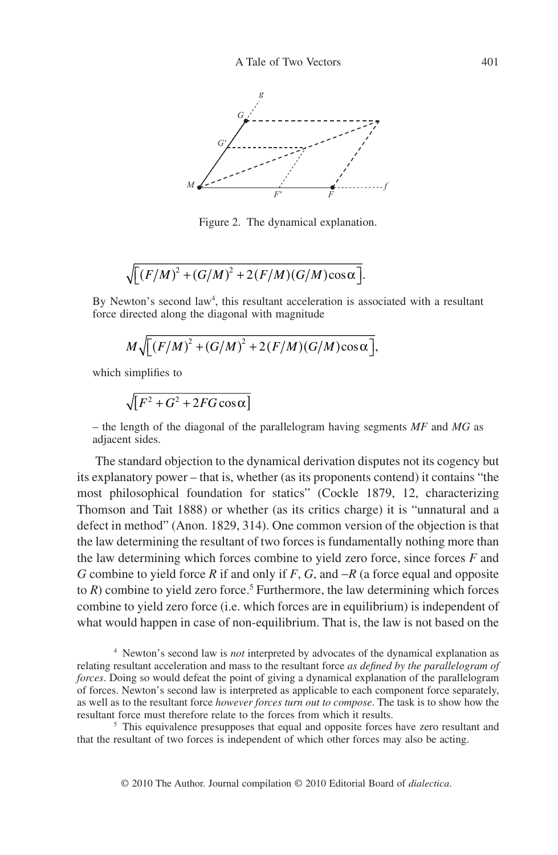

Figure 2. The dynamical explanation.

$$
\sqrt{\left[(F/M)^2 + (G/M)^2 + 2(F/M)(G/M)\cos\alpha\right]}.
$$

By Newton's second law<sup>4</sup>, this resultant acceleration is associated with a resultant force directed along the diagonal with magnitude

$$
M\sqrt{\left[(F/M)^2 + (G/M)^2 + 2(F/M)(G/M)\cos\alpha\right]},
$$

which simplifies to

$$
\sqrt{[F^2+G^2+2FG\cos\alpha]}
$$

– the length of the diagonal of the parallelogram having segments *MF* and *MG* as adjacent sides.

The standard objection to the dynamical derivation disputes not its cogency but its explanatory power – that is, whether (as its proponents contend) it contains "the most philosophical foundation for statics" (Cockle 1879, 12, characterizing Thomson and Tait 1888) or whether (as its critics charge) it is "unnatural and a defect in method" (Anon. 1829, 314). One common version of the objection is that the law determining the resultant of two forces is fundamentally nothing more than the law determining which forces combine to yield zero force, since forces *F* and *G* combine to yield force *R* if and only if *F*, *G*, and -*R* (a force equal and opposite to  $R$ ) combine to yield zero force.<sup>5</sup> Furthermore, the law determining which forces combine to yield zero force (i.e. which forces are in equilibrium) is independent of what would happen in case of non-equilibrium. That is, the law is not based on the

<sup>5</sup> This equivalence presupposes that equal and opposite forces have zero resultant and that the resultant of two forces is independent of which other forces may also be acting.

<sup>4</sup> Newton's second law is *not* interpreted by advocates of the dynamical explanation as relating resultant acceleration and mass to the resultant force *as defined by the parallelogram of forces*. Doing so would defeat the point of giving a dynamical explanation of the parallelogram of forces. Newton's second law is interpreted as applicable to each component force separately, as well as to the resultant force *however forces turn out to compose*. The task is to show how the resultant force must therefore relate to the forces from which it results.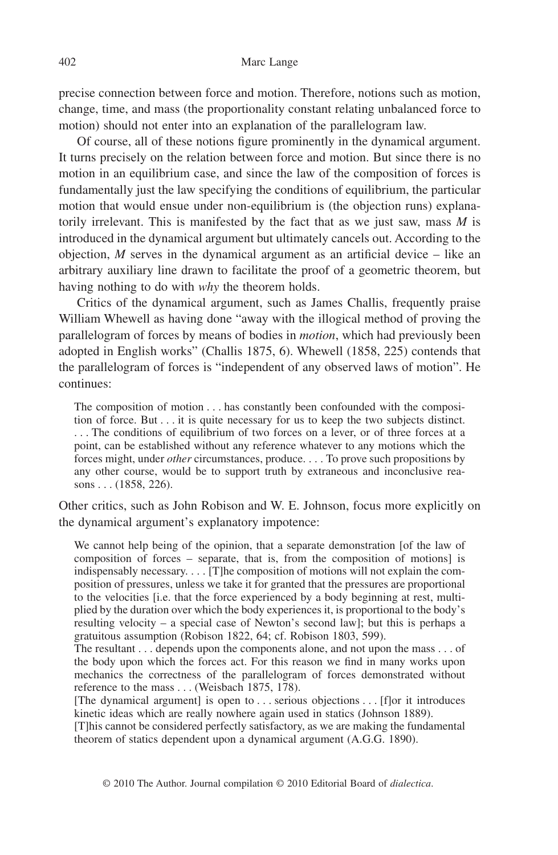precise connection between force and motion. Therefore, notions such as motion, change, time, and mass (the proportionality constant relating unbalanced force to motion) should not enter into an explanation of the parallelogram law.

Of course, all of these notions figure prominently in the dynamical argument. It turns precisely on the relation between force and motion. But since there is no motion in an equilibrium case, and since the law of the composition of forces is fundamentally just the law specifying the conditions of equilibrium, the particular motion that would ensue under non-equilibrium is (the objection runs) explanatorily irrelevant. This is manifested by the fact that as we just saw, mass *M* is introduced in the dynamical argument but ultimately cancels out. According to the objection,  $M$  serves in the dynamical argument as an artificial device  $-$  like an arbitrary auxiliary line drawn to facilitate the proof of a geometric theorem, but having nothing to do with *why* the theorem holds.

Critics of the dynamical argument, such as James Challis, frequently praise William Whewell as having done "away with the illogical method of proving the parallelogram of forces by means of bodies in *motion*, which had previously been adopted in English works" (Challis 1875, 6). Whewell (1858, 225) contends that the parallelogram of forces is "independent of any observed laws of motion". He continues:

The composition of motion . . . has constantly been confounded with the composition of force. But . . . it is quite necessary for us to keep the two subjects distinct. . . . The conditions of equilibrium of two forces on a lever, or of three forces at a point, can be established without any reference whatever to any motions which the forces might, under *other* circumstances, produce. . . . To prove such propositions by any other course, would be to support truth by extraneous and inconclusive reasons . . . (1858, 226).

Other critics, such as John Robison and W. E. Johnson, focus more explicitly on the dynamical argument's explanatory impotence:

We cannot help being of the opinion, that a separate demonstration [of the law of composition of forces – separate, that is, from the composition of motions] is indispensably necessary.... [T]he composition of motions will not explain the composition of pressures, unless we take it for granted that the pressures are proportional to the velocities [i.e. that the force experienced by a body beginning at rest, multiplied by the duration over which the body experiences it, is proportional to the body's resulting velocity – a special case of Newton's second law]; but this is perhaps a gratuitous assumption (Robison 1822, 64; cf. Robison 1803, 599).

The resultant... depends upon the components alone, and not upon the mass . . . of the body upon which the forces act. For this reason we find in many works upon mechanics the correctness of the parallelogram of forces demonstrated without reference to the mass . . . (Weisbach 1875, 178).

[The dynamical argument] is open to... serious objections... [f]or it introduces kinetic ideas which are really nowhere again used in statics (Johnson 1889).

[T]his cannot be considered perfectly satisfactory, as we are making the fundamental theorem of statics dependent upon a dynamical argument (A.G.G. 1890).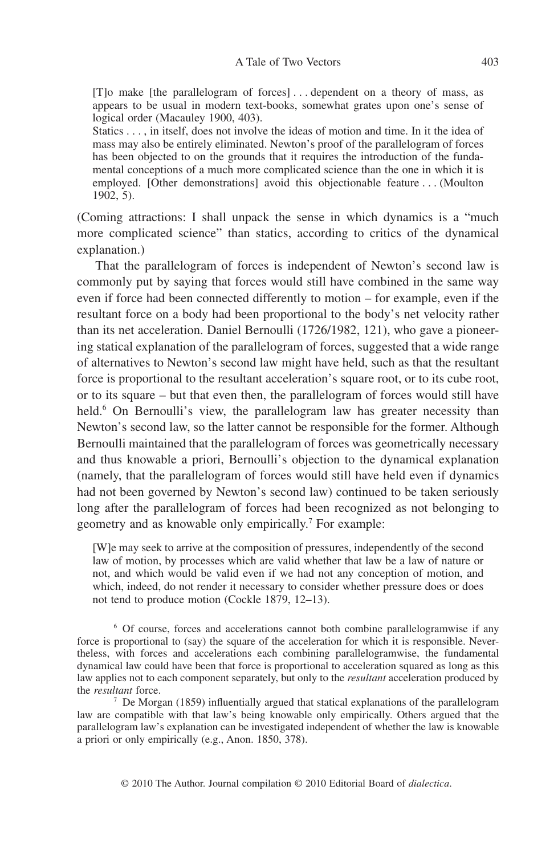[T]o make [the parallelogram of forces]... dependent on a theory of mass, as appears to be usual in modern text-books, somewhat grates upon one's sense of logical order (Macauley 1900, 403).

Statics . . . , in itself, does not involve the ideas of motion and time. In it the idea of mass may also be entirely eliminated. Newton's proof of the parallelogram of forces has been objected to on the grounds that it requires the introduction of the fundamental conceptions of a much more complicated science than the one in which it is employed. [Other demonstrations] avoid this objectionable feature . . . (Moulton 1902, 5).

(Coming attractions: I shall unpack the sense in which dynamics is a "much more complicated science" than statics, according to critics of the dynamical explanation.)

That the parallelogram of forces is independent of Newton's second law is commonly put by saying that forces would still have combined in the same way even if force had been connected differently to motion – for example, even if the resultant force on a body had been proportional to the body's net velocity rather than its net acceleration. Daniel Bernoulli (1726/1982, 121), who gave a pioneering statical explanation of the parallelogram of forces, suggested that a wide range of alternatives to Newton's second law might have held, such as that the resultant force is proportional to the resultant acceleration's square root, or to its cube root, or to its square – but that even then, the parallelogram of forces would still have held.<sup>6</sup> On Bernoulli's view, the parallelogram law has greater necessity than Newton's second law, so the latter cannot be responsible for the former. Although Bernoulli maintained that the parallelogram of forces was geometrically necessary and thus knowable a priori, Bernoulli's objection to the dynamical explanation (namely, that the parallelogram of forces would still have held even if dynamics had not been governed by Newton's second law) continued to be taken seriously long after the parallelogram of forces had been recognized as not belonging to geometry and as knowable only empirically.7 For example:

[W]e may seek to arrive at the composition of pressures, independently of the second law of motion, by processes which are valid whether that law be a law of nature or not, and which would be valid even if we had not any conception of motion, and which, indeed, do not render it necessary to consider whether pressure does or does not tend to produce motion (Cockle 1879, 12–13).

<sup>6</sup> Of course, forces and accelerations cannot both combine parallelogramwise if any force is proportional to (say) the square of the acceleration for which it is responsible. Nevertheless, with forces and accelerations each combining parallelogramwise, the fundamental dynamical law could have been that force is proportional to acceleration squared as long as this law applies not to each component separately, but only to the *resultant* acceleration produced by the *resultant* force.

 $7$  De Morgan (1859) influentially argued that statical explanations of the parallelogram law are compatible with that law's being knowable only empirically. Others argued that the parallelogram law's explanation can be investigated independent of whether the law is knowable a priori or only empirically (e.g., Anon. 1850, 378).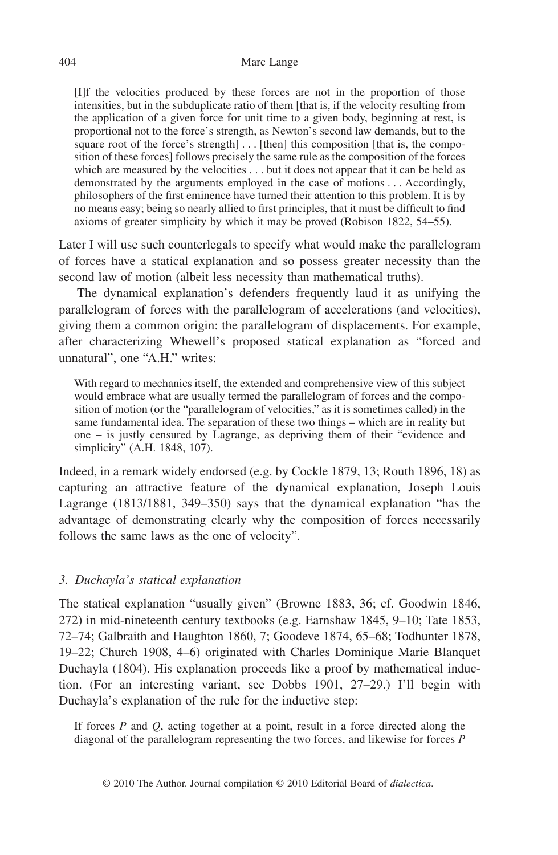#### 404 Marc Lange

[I]f the velocities produced by these forces are not in the proportion of those intensities, but in the subduplicate ratio of them [that is, if the velocity resulting from the application of a given force for unit time to a given body, beginning at rest, is proportional not to the force's strength, as Newton's second law demands, but to the square root of the force's strength]... [then] this composition [that is, the composition of these forces] follows precisely the same rule as the composition of the forces which are measured by the velocities . . . but it does not appear that it can be held as demonstrated by the arguments employed in the case of motions... Accordingly, philosophers of the first eminence have turned their attention to this problem. It is by no means easy; being so nearly allied to first principles, that it must be difficult to find axioms of greater simplicity by which it may be proved (Robison 1822, 54–55).

Later I will use such counterlegals to specify what would make the parallelogram of forces have a statical explanation and so possess greater necessity than the second law of motion (albeit less necessity than mathematical truths).

The dynamical explanation's defenders frequently laud it as unifying the parallelogram of forces with the parallelogram of accelerations (and velocities), giving them a common origin: the parallelogram of displacements. For example, after characterizing Whewell's proposed statical explanation as "forced and unnatural", one "A.H." writes:

With regard to mechanics itself, the extended and comprehensive view of this subject would embrace what are usually termed the parallelogram of forces and the composition of motion (or the "parallelogram of velocities," as it is sometimes called) in the same fundamental idea. The separation of these two things – which are in reality but one – is justly censured by Lagrange, as depriving them of their "evidence and simplicity" (A.H. 1848, 107).

Indeed, in a remark widely endorsed (e.g. by Cockle 1879, 13; Routh 1896, 18) as capturing an attractive feature of the dynamical explanation, Joseph Louis Lagrange (1813/1881, 349–350) says that the dynamical explanation "has the advantage of demonstrating clearly why the composition of forces necessarily follows the same laws as the one of velocity".

## *3. Duchayla's statical explanation*

The statical explanation "usually given" (Browne 1883, 36; cf. Goodwin 1846, 272) in mid-nineteenth century textbooks (e.g. Earnshaw 1845, 9–10; Tate 1853, 72–74; Galbraith and Haughton 1860, 7; Goodeve 1874, 65–68; Todhunter 1878, 19–22; Church 1908, 4–6) originated with Charles Dominique Marie Blanquet Duchayla (1804). His explanation proceeds like a proof by mathematical induction. (For an interesting variant, see Dobbs 1901, 27–29.) I'll begin with Duchayla's explanation of the rule for the inductive step:

If forces *P* and *Q*, acting together at a point, result in a force directed along the diagonal of the parallelogram representing the two forces, and likewise for forces *P*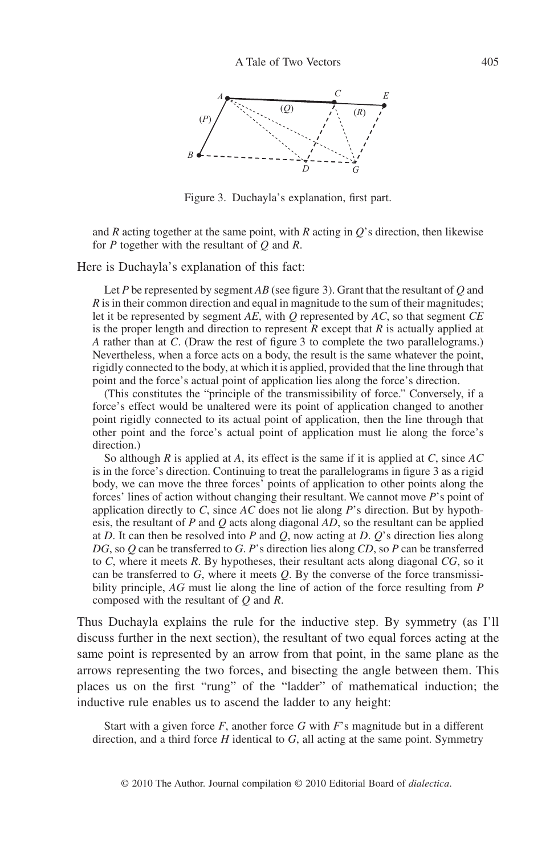

Figure 3. Duchayla's explanation, first part.

and *R* acting together at the same point, with *R* acting in *Q*'s direction, then likewise for *P* together with the resultant of *Q* and *R*.

Here is Duchayla's explanation of this fact:

Let *P* be represented by segment *AB* (see figure 3). Grant that the resultant of *Q* and *R* is in their common direction and equal in magnitude to the sum of their magnitudes; let it be represented by segment *AE*, with *Q* represented by *AC*, so that segment *CE* is the proper length and direction to represent *R* except that *R* is actually applied at *A* rather than at *C*. (Draw the rest of figure 3 to complete the two parallelograms.) Nevertheless, when a force acts on a body, the result is the same whatever the point, rigidly connected to the body, at which it is applied, provided that the line through that point and the force's actual point of application lies along the force's direction.

(This constitutes the "principle of the transmissibility of force." Conversely, if a force's effect would be unaltered were its point of application changed to another point rigidly connected to its actual point of application, then the line through that other point and the force's actual point of application must lie along the force's direction.)

So although *R* is applied at *A*, its effect is the same if it is applied at *C*, since *AC* is in the force's direction. Continuing to treat the parallelograms in figure 3 as a rigid body, we can move the three forces' points of application to other points along the forces' lines of action without changing their resultant. We cannot move *P*'s point of application directly to *C*, since *AC* does not lie along *P*'s direction. But by hypothesis, the resultant of *P* and *Q* acts along diagonal *AD*, so the resultant can be applied at *D*. It can then be resolved into *P* and *Q*, now acting at *D*. *Q*'s direction lies along *DG*, so *Q* can be transferred to *G*. *P*'s direction lies along *CD*, so *P* can be transferred to *C*, where it meets *R*. By hypotheses, their resultant acts along diagonal *CG*, so it can be transferred to *G*, where it meets *Q*. By the converse of the force transmissibility principle, *AG* must lie along the line of action of the force resulting from *P* composed with the resultant of *Q* and *R*.

Thus Duchayla explains the rule for the inductive step. By symmetry (as I'll discuss further in the next section), the resultant of two equal forces acting at the same point is represented by an arrow from that point, in the same plane as the arrows representing the two forces, and bisecting the angle between them. This places us on the first "rung" of the "ladder" of mathematical induction; the inductive rule enables us to ascend the ladder to any height:

Start with a given force *F*, another force *G* with *F*'s magnitude but in a different direction, and a third force *H* identical to *G*, all acting at the same point. Symmetry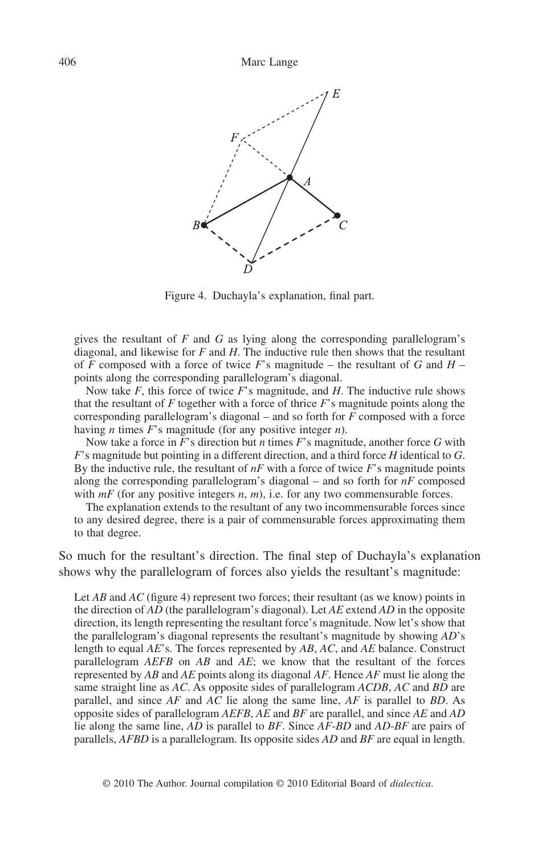

Figure 4. Duchayla's explanation, final part.

gives the resultant of *F* and *G* as lying along the corresponding parallelogram's diagonal, and likewise for *F* and *H*. The inductive rule then shows that the resultant of *F* composed with a force of twice *F*'s magnitude – the resultant of *G* and  $H$  – points along the corresponding parallelogram's diagonal.

Now take *F*, this force of twice *F*'s magnitude, and *H*. The inductive rule shows that the resultant of *F* together with a force of thrice *F*'s magnitude points along the corresponding parallelogram's diagonal – and so forth for  $\overline{F}$  composed with a force having *n* times *F*'s magnitude (for any positive integer *n*).

Now take a force in *F*'s direction but *n* times *F*'s magnitude, another force *G* with *F*'s magnitude but pointing in a different direction, and a third force *H* identical to *G*. By the inductive rule, the resultant of  $nF$  with a force of twice  $F$ 's magnitude points along the corresponding parallelogram's diagonal – and so forth for *nF* composed with  $mF$  (for any positive integers  $n$ ,  $m$ ), i.e. for any two commensurable forces.

The explanation extends to the resultant of any two incommensurable forces since to any desired degree, there is a pair of commensurable forces approximating them to that degree.

So much for the resultant's direction. The final step of Duchayla's explanation shows why the parallelogram of forces also yields the resultant's magnitude:

Let *AB* and *AC* (figure 4) represent two forces; their resultant (as we know) points in the direction of *AD* (the parallelogram's diagonal). Let *AE* extend *AD* in the opposite direction, its length representing the resultant force's magnitude. Now let's show that the parallelogram's diagonal represents the resultant's magnitude by showing *AD*'s length to equal *AE*'s. The forces represented by *AB*, *AC*, and *AE* balance. Construct parallelogram *AEFB* on *AB* and *AE*; we know that the resultant of the forces represented by *AB* and *AE* points along its diagonal *AF*. Hence *AF* must lie along the same straight line as *AC*. As opposite sides of parallelogram *ACDB*, *AC* and *BD* are parallel, and since *AF* and *AC* lie along the same line, *AF* is parallel to *BD*. As opposite sides of parallelogram *AEFB*, *AE* and *BF* are parallel, and since *AE* and *AD* lie along the same line, *AD* is parallel to *BF*. Since *AF*-*BD* and *AD*-*BF* are pairs of parallels, *AFBD* is a parallelogram. Its opposite sides *AD* and *BF* are equal in length.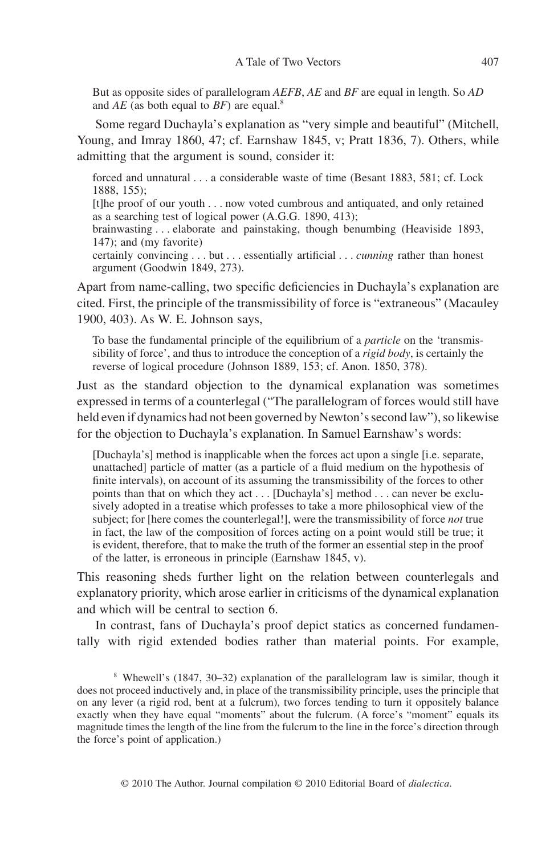But as opposite sides of parallelogram *AEFB*, *AE* and *BF* are equal in length. So *AD* and *AE* (as both equal to *BF*) are equal.8

Some regard Duchayla's explanation as "very simple and beautiful" (Mitchell, Young, and Imray 1860, 47; cf. Earnshaw 1845, v; Pratt 1836, 7). Others, while admitting that the argument is sound, consider it:

forced and unnatural...a considerable waste of time (Besant 1883, 581; cf. Lock 1888, 155); [t]he proof of our youth . . . now voted cumbrous and antiquated, and only retained as a searching test of logical power (A.G.G. 1890, 413); brainwasting... elaborate and painstaking, though benumbing (Heaviside 1893, 147); and (my favorite) certainly convincing . . . but . . . essentially artificial... *cunning* rather than honest argument (Goodwin 1849, 273).

Apart from name-calling, two specific deficiencies in Duchayla's explanation are cited. First, the principle of the transmissibility of force is "extraneous" (Macauley 1900, 403). As W. E. Johnson says,

To base the fundamental principle of the equilibrium of a *particle* on the 'transmissibility of force', and thus to introduce the conception of a *rigid body*, is certainly the reverse of logical procedure (Johnson 1889, 153; cf. Anon. 1850, 378).

Just as the standard objection to the dynamical explanation was sometimes expressed in terms of a counterlegal ("The parallelogram of forces would still have held even if dynamics had not been governed by Newton's second law"), so likewise for the objection to Duchayla's explanation. In Samuel Earnshaw's words:

[Duchayla's] method is inapplicable when the forces act upon a single [i.e. separate, unattached] particle of matter (as a particle of a fluid medium on the hypothesis of finite intervals), on account of its assuming the transmissibility of the forces to other points than that on which they act . . . [Duchayla's] method . . . can never be exclusively adopted in a treatise which professes to take a more philosophical view of the subject; for [here comes the counterlegal!], were the transmissibility of force *not* true in fact, the law of the composition of forces acting on a point would still be true; it is evident, therefore, that to make the truth of the former an essential step in the proof of the latter, is erroneous in principle (Earnshaw 1845, v).

This reasoning sheds further light on the relation between counterlegals and explanatory priority, which arose earlier in criticisms of the dynamical explanation and which will be central to section 6.

In contrast, fans of Duchayla's proof depict statics as concerned fundamentally with rigid extended bodies rather than material points. For example,

<sup>8</sup> Whewell's (1847, 30–32) explanation of the parallelogram law is similar, though it does not proceed inductively and, in place of the transmissibility principle, uses the principle that on any lever (a rigid rod, bent at a fulcrum), two forces tending to turn it oppositely balance exactly when they have equal "moments" about the fulcrum. (A force's "moment" equals its magnitude times the length of the line from the fulcrum to the line in the force's direction through the force's point of application.)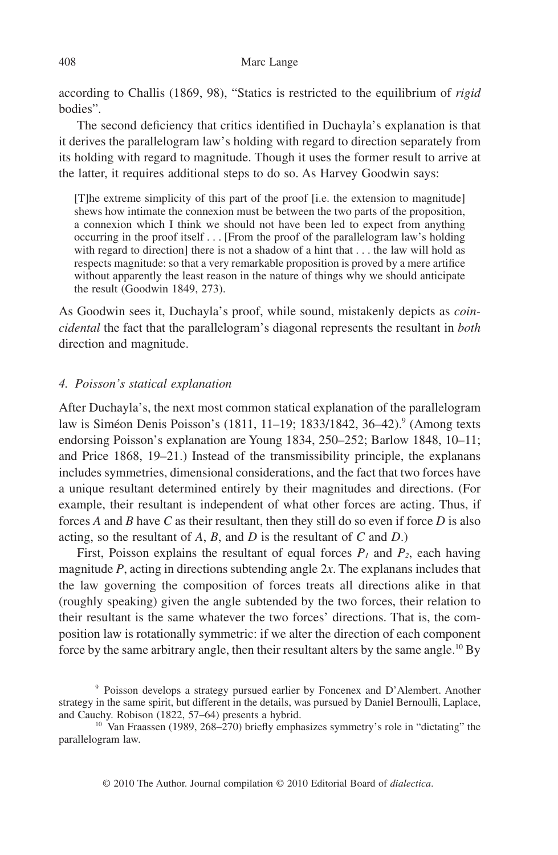according to Challis (1869, 98), "Statics is restricted to the equilibrium of *rigid* bodies".

The second deficiency that critics identified in Duchayla's explanation is that it derives the parallelogram law's holding with regard to direction separately from its holding with regard to magnitude. Though it uses the former result to arrive at the latter, it requires additional steps to do so. As Harvey Goodwin says:

[T]he extreme simplicity of this part of the proof [i.e. the extension to magnitude] shews how intimate the connexion must be between the two parts of the proposition, a connexion which I think we should not have been led to expect from anything occurring in the proof itself... [From the proof of the parallelogram law's holding with regard to direction] there is not a shadow of a hint that . . . the law will hold as respects magnitude: so that a very remarkable proposition is proved by a mere artifice without apparently the least reason in the nature of things why we should anticipate the result (Goodwin 1849, 273).

As Goodwin sees it, Duchayla's proof, while sound, mistakenly depicts as *coincidental* the fact that the parallelogram's diagonal represents the resultant in *both* direction and magnitude.

### *4. Poisson's statical explanation*

After Duchayla's, the next most common statical explanation of the parallelogram law is Siméon Denis Poisson's (1811, 11–19; 1833/1842, 36–42).<sup>9</sup> (Among texts endorsing Poisson's explanation are Young 1834, 250–252; Barlow 1848, 10–11; and Price 1868, 19–21.) Instead of the transmissibility principle, the explanans includes symmetries, dimensional considerations, and the fact that two forces have a unique resultant determined entirely by their magnitudes and directions. (For example, their resultant is independent of what other forces are acting. Thus, if forces *A* and *B* have *C* as their resultant, then they still do so even if force *D* is also acting, so the resultant of *A*, *B*, and *D* is the resultant of *C* and *D*.)

First, Poisson explains the resultant of equal forces  $P_1$  and  $P_2$ , each having magnitude *P*, acting in directions subtending angle 2*x*. The explanans includes that the law governing the composition of forces treats all directions alike in that (roughly speaking) given the angle subtended by the two forces, their relation to their resultant is the same whatever the two forces' directions. That is, the composition law is rotationally symmetric: if we alter the direction of each component force by the same arbitrary angle, then their resultant alters by the same angle.<sup>10</sup> By

<sup>9</sup> Poisson develops a strategy pursued earlier by Foncenex and D'Alembert. Another strategy in the same spirit, but different in the details, was pursued by Daniel Bernoulli, Laplace, and Cauchy. Robison (1822, 57–64) presents a hybrid.

<sup>&</sup>lt;sup>10</sup> Van Fraassen (1989, 268–270) briefly emphasizes symmetry's role in "dictating" the parallelogram law.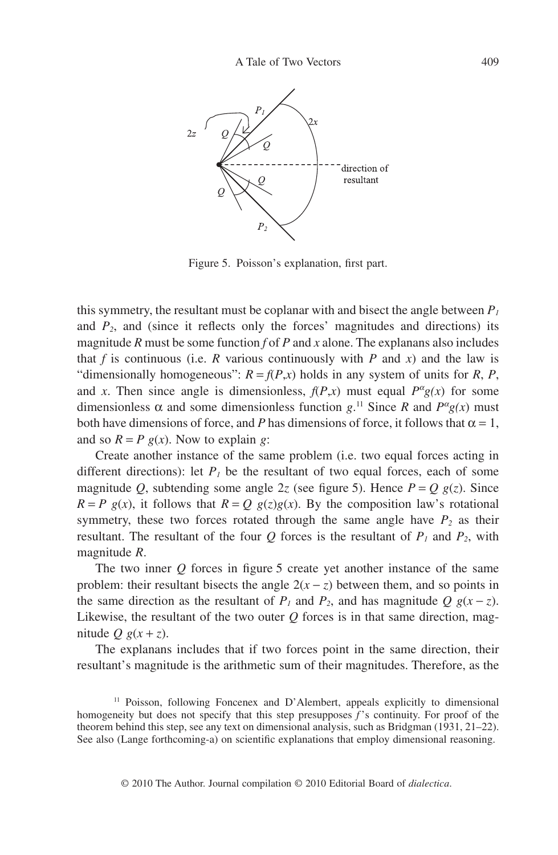

Figure 5. Poisson's explanation, first part.

this symmetry, the resultant must be coplanar with and bisect the angle between  $P<sub>1</sub>$ and  $P_2$ , and (since it reflects only the forces' magnitudes and directions) its magnitude *R* must be some function *f* of *P* and *x* alone. The explanans also includes that *f* is continuous (i.e. *R* various continuously with *P* and *x*) and the law is "dimensionally homogeneous":  $R = f(P,x)$  holds in any system of units for *R*, *P*, and *x*. Then since angle is dimensionless,  $f(P,x)$  must equal  $P^{\alpha}g(x)$  for some dimensionless  $\alpha$  and some dimensionless function  $g$ .<sup>11</sup> Since *R* and  $P^{\alpha}g(x)$  must both have dimensions of force, and *P* has dimensions of force, it follows that  $\alpha = 1$ , and so  $R = P g(x)$ . Now to explain *g*:

Create another instance of the same problem (i.e. two equal forces acting in different directions): let  $P_l$  be the resultant of two equal forces, each of some magnitude *Q*, subtending some angle 2*z* (see figure 5). Hence  $P = Q g(z)$ . Since  $R = P g(x)$ , it follows that  $R = Q g(z)g(x)$ . By the composition law's rotational symmetry, these two forces rotated through the same angle have  $P_2$  as their resultant. The resultant of the four  $Q$  forces is the resultant of  $P_1$  and  $P_2$ , with magnitude *R*.

The two inner *Q* forces in figure 5 create yet another instance of the same problem: their resultant bisects the angle  $2(x - z)$  between them, and so points in the same direction as the resultant of  $P_1$  and  $P_2$ , and has magnitude  $Q_g(x-z)$ . Likewise, the resultant of the two outer  $Q$  forces is in that same direction, magnitude  $Q g(x+z)$ .

The explanans includes that if two forces point in the same direction, their resultant's magnitude is the arithmetic sum of their magnitudes. Therefore, as the

<sup>&</sup>lt;sup>11</sup> Poisson, following Foncenex and D'Alembert, appeals explicitly to dimensional homogeneity but does not specify that this step presupposes *f* 's continuity. For proof of the theorem behind this step, see any text on dimensional analysis, such as Bridgman (1931, 21–22). See also (Lange forthcoming-a) on scientific explanations that employ dimensional reasoning.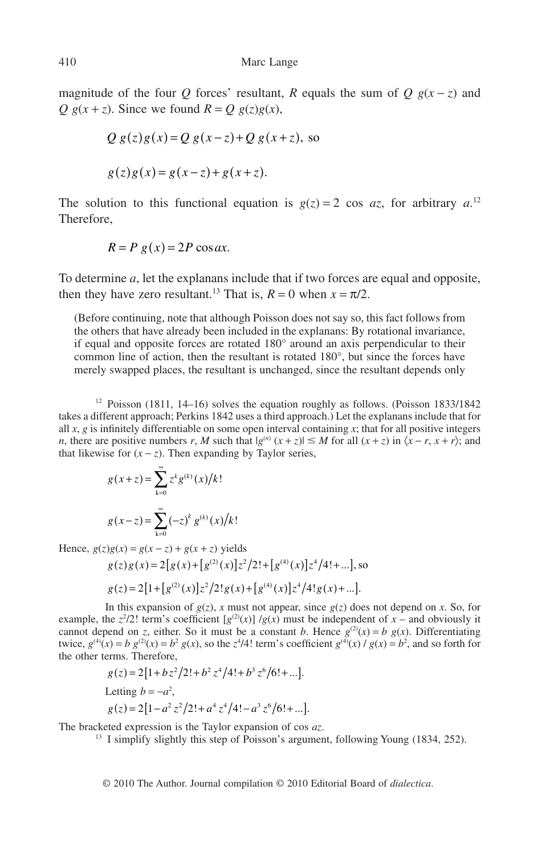magnitude of the four *Q* forces' resultant, *R* equals the sum of *Q*  $g(x - z)$  and *Q*  $g(x+z)$ . Since we found  $R = Q g(z)g(x)$ ,

$$
Q g(z)g(x) = Q g(x-z) + Q g(x+z),
$$
 so  

$$
g(z)g(x) = g(x-z) + g(x+z).
$$

The solution to this functional equation is  $g(z) = 2 \cos az$ , for arbitrary  $a^{12}$ . Therefore,

$$
R = P g(x) = 2P \cos ax.
$$

To determine *a*, let the explanans include that if two forces are equal and opposite, then they have zero resultant.<sup>13</sup> That is,  $R = 0$  when  $x = \pi/2$ .

(Before continuing, note that although Poisson does not say so, this fact follows from the others that have already been included in the explanans: By rotational invariance, if equal and opposite forces are rotated 180° around an axis perpendicular to their common line of action, then the resultant is rotated 180°, but since the forces have merely swapped places, the resultant is unchanged, since the resultant depends only

 $12$  Poisson (1811, 14–16) solves the equation roughly as follows. (Poisson 1833/1842) takes a different approach; Perkins 1842 uses a third approach.) Let the explanans include that for all  $x$ ,  $g$  is infinitely differentiable on some open interval containing  $x$ ; that for all positive integers *n*, there are positive numbers *r*, *M* such that  $|g^{(n)}(x+z)| \leq M$  for all  $(x + z)$  in  $\langle x - r, x + r \rangle$ ; and that likewise for  $(x - z)$ . Then expanding by Taylor series,

$$
g(x+z) = \sum_{k=0}^{\infty} z^{k} g^{(k)}(x)/k!
$$

$$
g(x-z) = \sum_{k=0}^{\infty} (-z)^{k} g^{(k)}(x)/k!
$$

 $k=0$ Hence,  $g(z)g(x) = g(x - z) + g(x + z)$  yields

> $g(z)g(x) = 2[g(x) + [g^{(2)}(x)]z^2/2! + [g^{(4)}(x)]z^4/4! + ...]$ , so  $g(z) = 2[1 + [g^{(2)}(x)]z^2/2!g(x) + [g^{(4)}(x)]z^4/4!g(x) + ...].$

In this expansion of  $g(z)$ , *x* must not appear, since  $g(z)$  does not depend on *x*. So, for example, the  $z^2/2!$  term's coefficient  $[g^{(2)}(x)]/g(x)$  must be independent of  $x$  – and obviously it cannot depend on *z*, either. So it must be a constant *b*. Hence  $g^{(2)}(x) = b g(x)$ . Differentiating twice,  $g^{(4)}(x) = b$   $g^{(2)}(x) = b^2$   $g(x)$ , so the  $z^4/4!$  term's coefficient  $g^{(4)}(x) / g(x) = b^2$ , and so forth for the other terms. Therefore,

$$
g(z) = 2[1 + bz^2/2! + b^2 z^4/4! + b^3 z^6/6! + ...].
$$
  
Letting  $b = -a^2$ ,  

$$
g(z) = 2[1 - a^2 z^2/2! + a^4 z^4/4! - a^3 z^6/6! + ...].
$$

The bracketed expression is the Taylor expansion of cos *az*.

<sup>13</sup> I simplify slightly this step of Poisson's argument, following Young (1834, 252).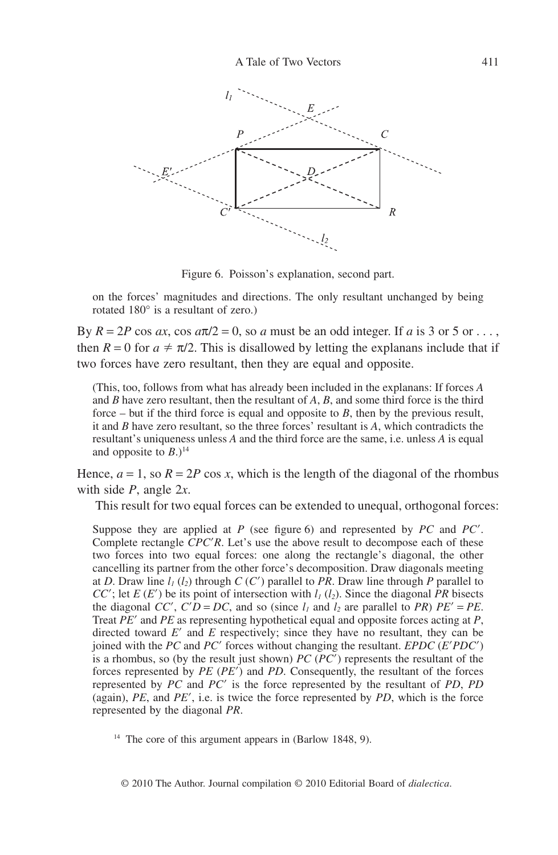

Figure 6. Poisson's explanation, second part.

on the forces' magnitudes and directions. The only resultant unchanged by being rotated 180° is a resultant of zero.)

By  $R = 2P \cos ax$ ,  $\cos a\pi/2 = 0$ , so *a* must be an odd integer. If *a* is 3 or 5 or ... then  $R = 0$  for  $a \neq \pi/2$ . This is disallowed by letting the explanans include that if two forces have zero resultant, then they are equal and opposite.

(This, too, follows from what has already been included in the explanans: If forces *A* and *B* have zero resultant, then the resultant of *A*, *B*, and some third force is the third force – but if the third force is equal and opposite to  $B$ , then by the previous result, it and *B* have zero resultant, so the three forces' resultant is *A*, which contradicts the resultant's uniqueness unless *A* and the third force are the same, i.e. unless *A* is equal and opposite to  $B$ .)<sup>14</sup>

Hence,  $a = 1$ , so  $R = 2P \cos x$ , which is the length of the diagonal of the rhombus with side *P*, angle 2*x*.

This result for two equal forces can be extended to unequal, orthogonal forces:

Suppose they are applied at *P* (see figure 6) and represented by *PC* and *PC-*. Complete rectangle *CPC-R*. Let's use the above result to decompose each of these two forces into two equal forces: one along the rectangle's diagonal, the other cancelling its partner from the other force's decomposition. Draw diagonals meeting at *D*. Draw line  $l_1$  ( $l_2$ ) through *C* (*C'*) parallel to *PR*. Draw line through *P* parallel to *CC*<sup> $\prime$ </sup>; let *E* (*E*<sup> $\prime$ </sup>) be its point of intersection with *l<sub>1</sub>* (*l<sub>2</sub>*). Since the diagonal *PR* bisects the diagonal *CC'*,  $C'D = DC$ , and so (since  $l_1$  and  $l_2$  are parallel to *PR*)  $PE' = PE$ . Treat *PE-* and *PE* as representing hypothetical equal and opposite forces acting at *P*, directed toward  $E'$  and  $E$  respectively; since they have no resultant, they can be joined with the *PC* and *PC-* forces without changing the resultant. *EPDC* (*E-PDC-*) is a rhombus, so (by the result just shown) *PC* (*PC'*) represents the resultant of the forces represented by *PE* (*PE-*) and *PD*. Consequently, the resultant of the forces represented by *PC* and *PC-* is the force represented by the resultant of *PD*, *PD* (again), *PE*, and *PE-*, i.e. is twice the force represented by *PD*, which is the force represented by the diagonal *PR*.

<sup>14</sup> The core of this argument appears in (Barlow 1848, 9).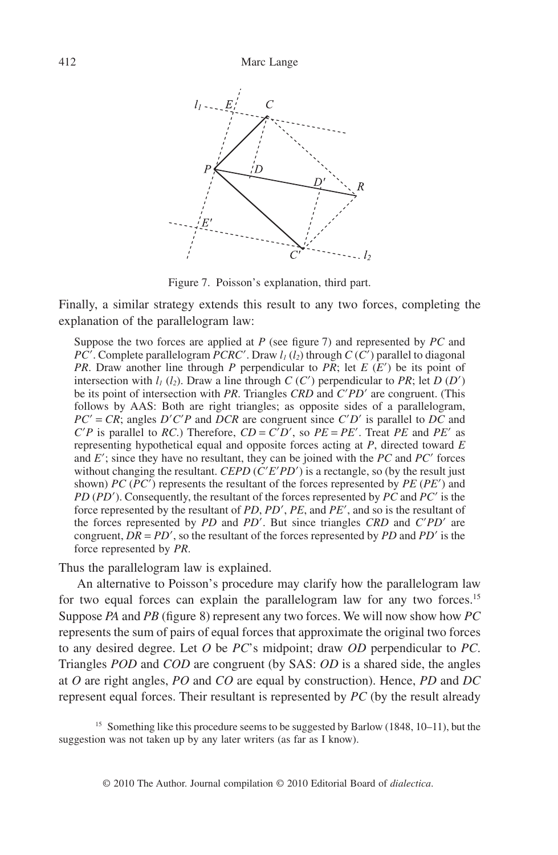

Figure 7. Poisson's explanation, third part.

Finally, a similar strategy extends this result to any two forces, completing the explanation of the parallelogram law:

Suppose the two forces are applied at *P* (see figure 7) and represented by *PC* and *PC*<sup> $\prime$ </sup>. Complete parallelogram *PCRC*<sup> $\prime$ </sup>. Draw *l<sub>1</sub>* (*l<sub>2</sub>*) through *C* (*C*<sup> $\prime$ </sup>) parallel to diagonal *PR*. Draw another line through *P* perpendicular to *PR*; let *E* (*E-*) be its point of intersection with  $l_1$  ( $l_2$ ). Draw a line through  $C$  ( $C'$ ) perpendicular to *PR*; let *D* (*D'*) be its point of intersection with *PR*. Triangles *CRD* and *C-PD-* are congruent. (This follows by AAS: Both are right triangles; as opposite sides of a parallelogram,  $PC' = CR$ ; angles  $D'C'P$  and  $DCR$  are congruent since  $C'D'$  is parallel to DC and *C*<sup>*P*</sup> is parallel to *RC*.) Therefore, *CD* = *C<sup><i>'D'*</sup>, so *PE* = *PE'*. Treat *PE* and *PE'* as representing hypothetical equal and opposite forces acting at *P*, directed toward *E* and *E-*; since they have no resultant, they can be joined with the *PC* and *PC-* forces without changing the resultant. *CEPD* (*C'E'PD'*) is a rectangle, so (by the result just shown) *PC* (*PC-*) represents the resultant of the forces represented by *PE* (*PE-*) and *PD* (*PD-*). Consequently, the resultant of the forces represented by *PC* and *PC-* is the force represented by the resultant of *PD*, *PD-*, *PE*, and *PE-*, and so is the resultant of the forces represented by *PD* and *PD-*. But since triangles *CRD* and *C-PD-* are congruent,  $DR = PD'$ , so the resultant of the forces represented by  $PD$  and  $PD'$  is the force represented by *PR*.

Thus the parallelogram law is explained.

An alternative to Poisson's procedure may clarify how the parallelogram law for two equal forces can explain the parallelogram law for any two forces.<sup>15</sup> Suppose *PA* and *PB* (figure 8) represent any two forces. We will now show how *PC* represents the sum of pairs of equal forces that approximate the original two forces to any desired degree. Let *O* be *PC*'s midpoint; draw *OD* perpendicular to *PC*. Triangles *POD* and *COD* are congruent (by SAS: *OD* is a shared side, the angles at *O* are right angles, *PO* and *CO* are equal by construction). Hence, *PD* and *DC* represent equal forces. Their resultant is represented by *PC* (by the result already

<sup>15</sup> Something like this procedure seems to be suggested by Barlow (1848, 10–11), but the suggestion was not taken up by any later writers (as far as I know).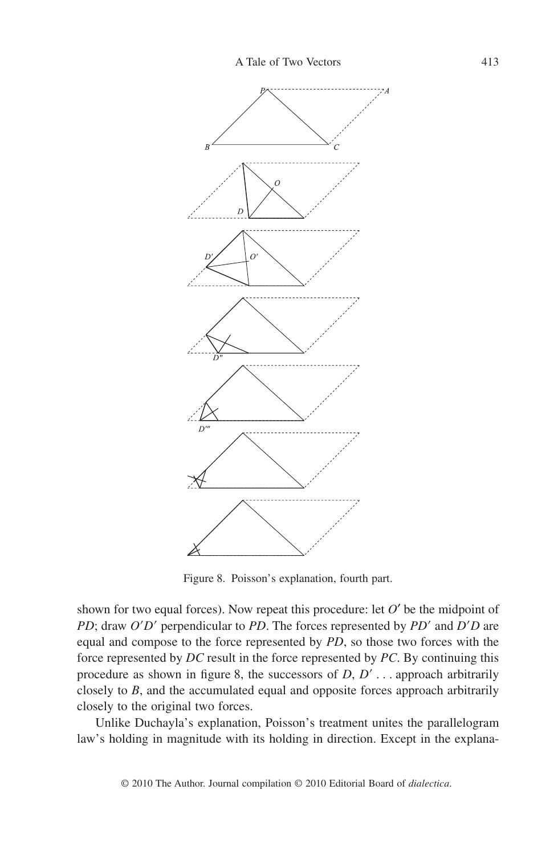

Figure 8. Poisson's explanation, fourth part.

shown for two equal forces). Now repeat this procedure: let *O*′ be the midpoint of *PD*; draw  $O'D'$  perpendicular to *PD*. The forces represented by *PD'* and *D'D* are equal and compose to the force represented by *PD*, so those two forces with the force represented by *DC* result in the force represented by *PC*. By continuing this procedure as shown in figure 8, the successors of *D*, *D-* . . . approach arbitrarily closely to *B*, and the accumulated equal and opposite forces approach arbitrarily closely to the original two forces.

Unlike Duchayla's explanation, Poisson's treatment unites the parallelogram law's holding in magnitude with its holding in direction. Except in the explana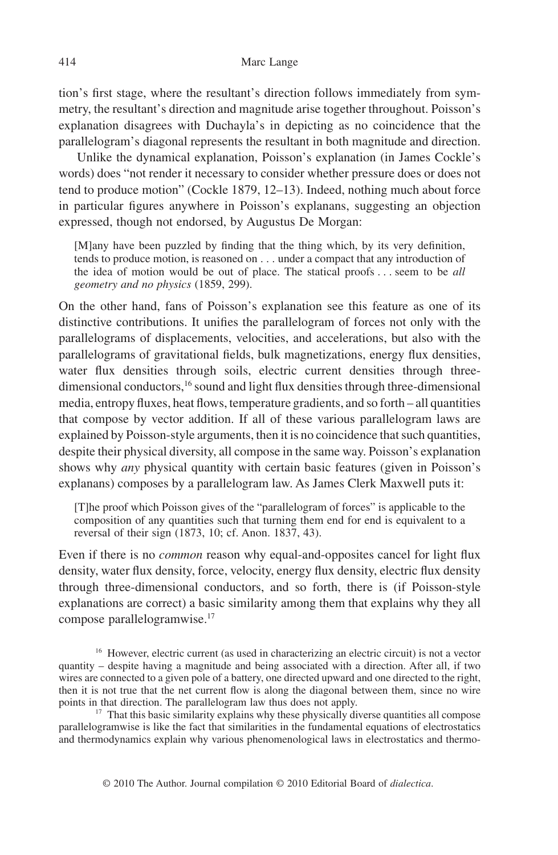tion's first stage, where the resultant's direction follows immediately from symmetry, the resultant's direction and magnitude arise together throughout. Poisson's explanation disagrees with Duchayla's in depicting as no coincidence that the parallelogram's diagonal represents the resultant in both magnitude and direction.

Unlike the dynamical explanation, Poisson's explanation (in James Cockle's words) does "not render it necessary to consider whether pressure does or does not tend to produce motion" (Cockle 1879, 12–13). Indeed, nothing much about force in particular figures anywhere in Poisson's explanans, suggesting an objection expressed, though not endorsed, by Augustus De Morgan:

[M]any have been puzzled by finding that the thing which, by its very definition, tends to produce motion, is reasoned on... under a compact that any introduction of the idea of motion would be out of place. The statical proofs... seem to be *all geometry and no physics* (1859, 299).

On the other hand, fans of Poisson's explanation see this feature as one of its distinctive contributions. It unifies the parallelogram of forces not only with the parallelograms of displacements, velocities, and accelerations, but also with the parallelograms of gravitational fields, bulk magnetizations, energy flux densities, water flux densities through soils, electric current densities through threedimensional conductors,<sup>16</sup> sound and light flux densities through three-dimensional media, entropy fluxes, heat flows, temperature gradients, and so forth – all quantities that compose by vector addition. If all of these various parallelogram laws are explained by Poisson-style arguments, then it is no coincidence that such quantities, despite their physical diversity, all compose in the same way. Poisson's explanation shows why *any* physical quantity with certain basic features (given in Poisson's explanans) composes by a parallelogram law. As James Clerk Maxwell puts it:

[T]he proof which Poisson gives of the "parallelogram of forces" is applicable to the composition of any quantities such that turning them end for end is equivalent to a reversal of their sign (1873, 10; cf. Anon. 1837, 43).

Even if there is no *common* reason why equal-and-opposites cancel for light flux density, water flux density, force, velocity, energy flux density, electric flux density through three-dimensional conductors, and so forth, there is (if Poisson-style explanations are correct) a basic similarity among them that explains why they all compose parallelogramwise.17

<sup>16</sup> However, electric current (as used in characterizing an electric circuit) is not a vector quantity – despite having a magnitude and being associated with a direction. After all, if two wires are connected to a given pole of a battery, one directed upward and one directed to the right, then it is not true that the net current flow is along the diagonal between them, since no wire points in that direction. The parallelogram law thus does not apply.

 $17$  That this basic similarity explains why these physically diverse quantities all compose parallelogramwise is like the fact that similarities in the fundamental equations of electrostatics and thermodynamics explain why various phenomenological laws in electrostatics and thermo-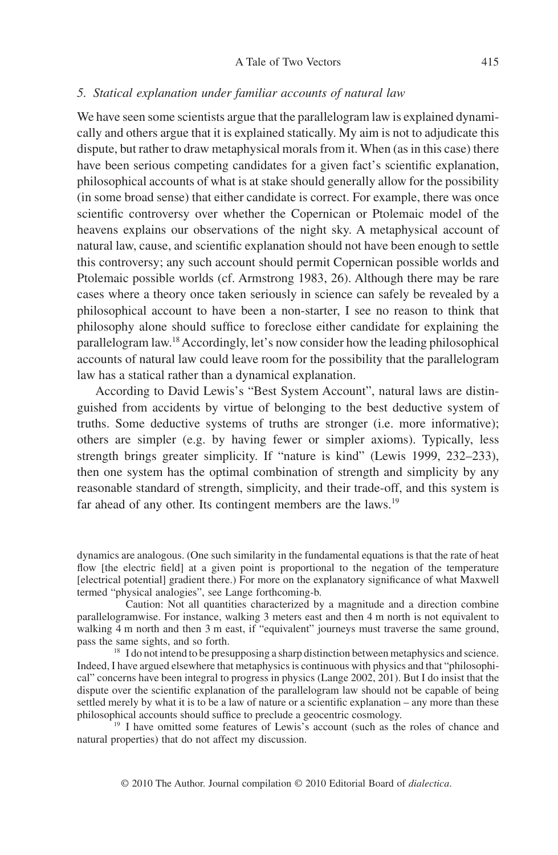### *5. Statical explanation under familiar accounts of natural law*

We have seen some scientists argue that the parallelogram law is explained dynamically and others argue that it is explained statically. My aim is not to adjudicate this dispute, but rather to draw metaphysical morals from it. When (as in this case) there have been serious competing candidates for a given fact's scientific explanation, philosophical accounts of what is at stake should generally allow for the possibility (in some broad sense) that either candidate is correct. For example, there was once scientific controversy over whether the Copernican or Ptolemaic model of the heavens explains our observations of the night sky. A metaphysical account of natural law, cause, and scientific explanation should not have been enough to settle this controversy; any such account should permit Copernican possible worlds and Ptolemaic possible worlds (cf. Armstrong 1983, 26). Although there may be rare cases where a theory once taken seriously in science can safely be revealed by a philosophical account to have been a non-starter, I see no reason to think that philosophy alone should suffice to foreclose either candidate for explaining the parallelogram law.18Accordingly, let's now consider how the leading philosophical accounts of natural law could leave room for the possibility that the parallelogram law has a statical rather than a dynamical explanation.

According to David Lewis's "Best System Account", natural laws are distinguished from accidents by virtue of belonging to the best deductive system of truths. Some deductive systems of truths are stronger (i.e. more informative); others are simpler (e.g. by having fewer or simpler axioms). Typically, less strength brings greater simplicity. If "nature is kind" (Lewis 1999, 232–233), then one system has the optimal combination of strength and simplicity by any reasonable standard of strength, simplicity, and their trade-off, and this system is far ahead of any other. Its contingent members are the laws.<sup>19</sup>

<sup>19</sup> I have omitted some features of Lewis's account (such as the roles of chance and natural properties) that do not affect my discussion.

dynamics are analogous. (One such similarity in the fundamental equations is that the rate of heat flow [the electric field] at a given point is proportional to the negation of the temperature [electrical potential] gradient there.) For more on the explanatory significance of what Maxwell termed "physical analogies", see Lange forthcoming-b.

Caution: Not all quantities characterized by a magnitude and a direction combine parallelogramwise. For instance, walking 3 meters east and then 4 m north is not equivalent to walking 4 m north and then 3 m east, if "equivalent" journeys must traverse the same ground, pass the same sights, and so forth.

<sup>&</sup>lt;sup>18</sup> I do not intend to be presupposing a sharp distinction between metaphysics and science. Indeed, I have argued elsewhere that metaphysics is continuous with physics and that "philosophical" concerns have been integral to progress in physics (Lange 2002, 201). But I do insist that the dispute over the scientific explanation of the parallelogram law should not be capable of being settled merely by what it is to be a law of nature or a scientific explanation – any more than these philosophical accounts should suffice to preclude a geocentric cosmology.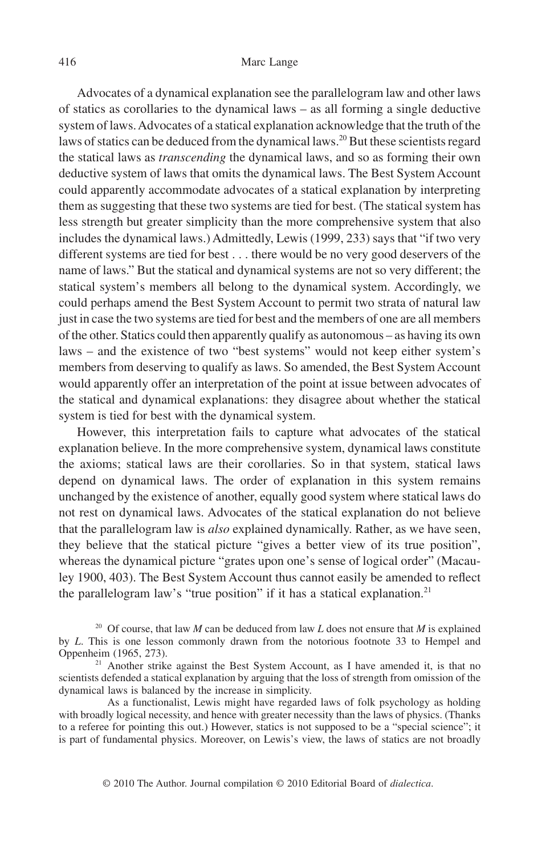Advocates of a dynamical explanation see the parallelogram law and other laws of statics as corollaries to the dynamical laws – as all forming a single deductive system of laws.Advocates of a statical explanation acknowledge that the truth of the laws of statics can be deduced from the dynamical laws.<sup>20</sup> But these scientists regard the statical laws as *transcending* the dynamical laws, and so as forming their own deductive system of laws that omits the dynamical laws. The Best System Account could apparently accommodate advocates of a statical explanation by interpreting them as suggesting that these two systems are tied for best. (The statical system has less strength but greater simplicity than the more comprehensive system that also includes the dynamical laws.) Admittedly, Lewis (1999, 233) says that "if two very different systems are tied for best... there would be no very good deservers of the name of laws." But the statical and dynamical systems are not so very different; the statical system's members all belong to the dynamical system. Accordingly, we could perhaps amend the Best System Account to permit two strata of natural law just in case the two systems are tied for best and the members of one are all members of the other. Statics could then apparently qualify as autonomous – as having its own laws – and the existence of two "best systems" would not keep either system's members from deserving to qualify as laws. So amended, the Best System Account would apparently offer an interpretation of the point at issue between advocates of the statical and dynamical explanations: they disagree about whether the statical system is tied for best with the dynamical system.

However, this interpretation fails to capture what advocates of the statical explanation believe. In the more comprehensive system, dynamical laws constitute the axioms; statical laws are their corollaries. So in that system, statical laws depend on dynamical laws. The order of explanation in this system remains unchanged by the existence of another, equally good system where statical laws do not rest on dynamical laws. Advocates of the statical explanation do not believe that the parallelogram law is *also* explained dynamically. Rather, as we have seen, they believe that the statical picture "gives a better view of its true position", whereas the dynamical picture "grates upon one's sense of logical order" (Macauley 1900, 403). The Best System Account thus cannot easily be amended to reflect the parallelogram law's "true position" if it has a statical explanation.<sup>21</sup>

<sup>20</sup> Of course, that law *M* can be deduced from law *L* does not ensure that *M* is explained by *L*. This is one lesson commonly drawn from the notorious footnote 33 to Hempel and Oppenheim (1965, 273).

As a functionalist, Lewis might have regarded laws of folk psychology as holding with broadly logical necessity, and hence with greater necessity than the laws of physics. (Thanks to a referee for pointing this out.) However, statics is not supposed to be a "special science"; it is part of fundamental physics. Moreover, on Lewis's view, the laws of statics are not broadly

<sup>&</sup>lt;sup>21</sup> Another strike against the Best System Account, as I have amended it, is that no scientists defended a statical explanation by arguing that the loss of strength from omission of the dynamical laws is balanced by the increase in simplicity.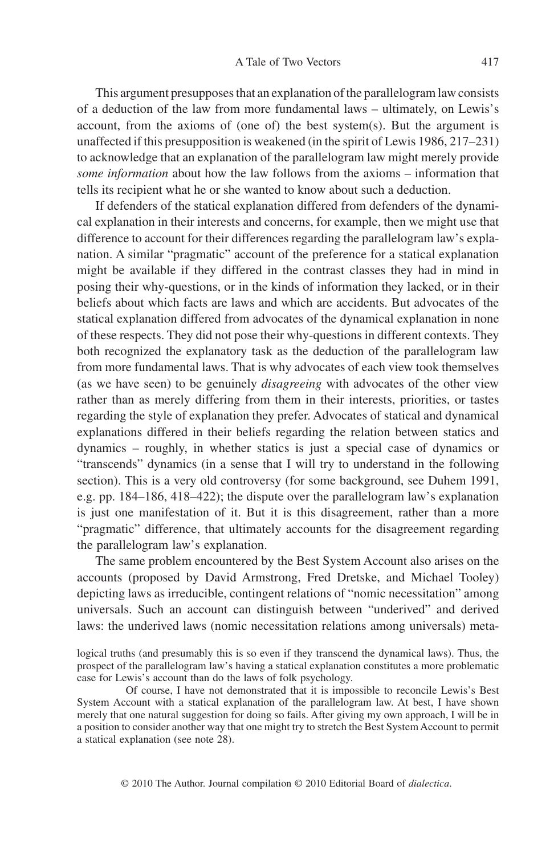This argument presupposes that an explanation of the parallelogram law consists of a deduction of the law from more fundamental laws – ultimately, on Lewis's account, from the axioms of (one of) the best system(s). But the argument is unaffected if this presupposition is weakened (in the spirit of Lewis 1986, 217–231) to acknowledge that an explanation of the parallelogram law might merely provide *some information* about how the law follows from the axioms – information that tells its recipient what he or she wanted to know about such a deduction.

If defenders of the statical explanation differed from defenders of the dynamical explanation in their interests and concerns, for example, then we might use that difference to account for their differences regarding the parallelogram law's explanation. A similar "pragmatic" account of the preference for a statical explanation might be available if they differed in the contrast classes they had in mind in posing their why-questions, or in the kinds of information they lacked, or in their beliefs about which facts are laws and which are accidents. But advocates of the statical explanation differed from advocates of the dynamical explanation in none of these respects. They did not pose their why-questions in different contexts. They both recognized the explanatory task as the deduction of the parallelogram law from more fundamental laws. That is why advocates of each view took themselves (as we have seen) to be genuinely *disagreeing* with advocates of the other view rather than as merely differing from them in their interests, priorities, or tastes regarding the style of explanation they prefer. Advocates of statical and dynamical explanations differed in their beliefs regarding the relation between statics and dynamics – roughly, in whether statics is just a special case of dynamics or "transcends" dynamics (in a sense that I will try to understand in the following section). This is a very old controversy (for some background, see Duhem 1991, e.g. pp. 184–186, 418–422); the dispute over the parallelogram law's explanation is just one manifestation of it. But it is this disagreement, rather than a more "pragmatic" difference, that ultimately accounts for the disagreement regarding the parallelogram law's explanation.

The same problem encountered by the Best System Account also arises on the accounts (proposed by David Armstrong, Fred Dretske, and Michael Tooley) depicting laws as irreducible, contingent relations of "nomic necessitation" among universals. Such an account can distinguish between "underived" and derived laws: the underived laws (nomic necessitation relations among universals) meta-

logical truths (and presumably this is so even if they transcend the dynamical laws). Thus, the prospect of the parallelogram law's having a statical explanation constitutes a more problematic case for Lewis's account than do the laws of folk psychology.

Of course, I have not demonstrated that it is impossible to reconcile Lewis's Best System Account with a statical explanation of the parallelogram law. At best, I have shown merely that one natural suggestion for doing so fails. After giving my own approach, I will be in a position to consider another way that one might try to stretch the Best System Account to permit a statical explanation (see note 28).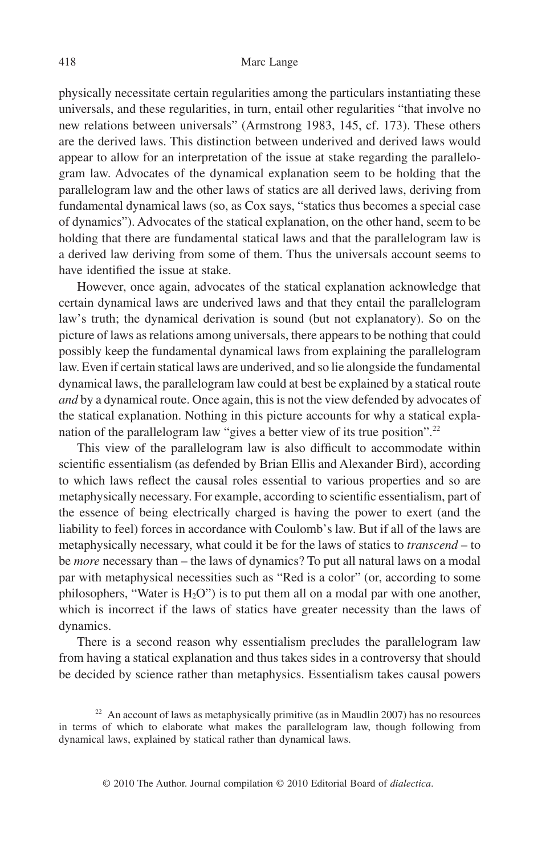physically necessitate certain regularities among the particulars instantiating these universals, and these regularities, in turn, entail other regularities "that involve no new relations between universals" (Armstrong 1983, 145, cf. 173). These others are the derived laws. This distinction between underived and derived laws would appear to allow for an interpretation of the issue at stake regarding the parallelogram law. Advocates of the dynamical explanation seem to be holding that the parallelogram law and the other laws of statics are all derived laws, deriving from fundamental dynamical laws (so, as Cox says, "statics thus becomes a special case of dynamics"). Advocates of the statical explanation, on the other hand, seem to be holding that there are fundamental statical laws and that the parallelogram law is a derived law deriving from some of them. Thus the universals account seems to have identified the issue at stake.

However, once again, advocates of the statical explanation acknowledge that certain dynamical laws are underived laws and that they entail the parallelogram law's truth; the dynamical derivation is sound (but not explanatory). So on the picture of laws as relations among universals, there appears to be nothing that could possibly keep the fundamental dynamical laws from explaining the parallelogram law. Even if certain statical laws are underived, and so lie alongside the fundamental dynamical laws, the parallelogram law could at best be explained by a statical route *and* by a dynamical route. Once again, this is not the view defended by advocates of the statical explanation. Nothing in this picture accounts for why a statical explanation of the parallelogram law "gives a better view of its true position".<sup>22</sup>

This view of the parallelogram law is also difficult to accommodate within scientific essentialism (as defended by Brian Ellis and Alexander Bird), according to which laws reflect the causal roles essential to various properties and so are metaphysically necessary. For example, according to scientific essentialism, part of the essence of being electrically charged is having the power to exert (and the liability to feel) forces in accordance with Coulomb's law. But if all of the laws are metaphysically necessary, what could it be for the laws of statics to *transcend* – to be *more* necessary than – the laws of dynamics? To put all natural laws on a modal par with metaphysical necessities such as "Red is a color" (or, according to some philosophers, "Water is  $H_2O$ ") is to put them all on a modal par with one another, which is incorrect if the laws of statics have greater necessity than the laws of dynamics.

There is a second reason why essentialism precludes the parallelogram law from having a statical explanation and thus takes sides in a controversy that should be decided by science rather than metaphysics. Essentialism takes causal powers

 $22$  An account of laws as metaphysically primitive (as in Maudlin 2007) has no resources in terms of which to elaborate what makes the parallelogram law, though following from dynamical laws, explained by statical rather than dynamical laws.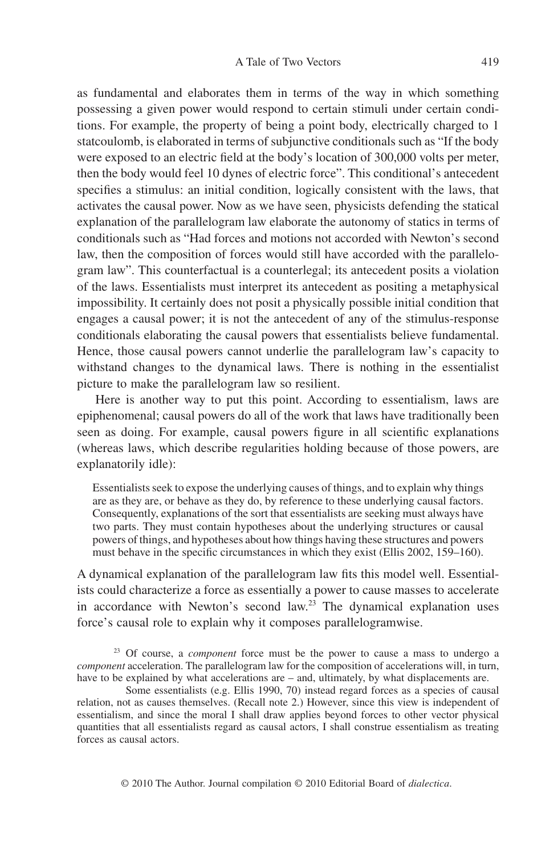as fundamental and elaborates them in terms of the way in which something possessing a given power would respond to certain stimuli under certain conditions. For example, the property of being a point body, electrically charged to 1 statcoulomb, is elaborated in terms of subjunctive conditionals such as "If the body were exposed to an electric field at the body's location of 300,000 volts per meter, then the body would feel 10 dynes of electric force". This conditional's antecedent specifies a stimulus: an initial condition, logically consistent with the laws, that activates the causal power. Now as we have seen, physicists defending the statical explanation of the parallelogram law elaborate the autonomy of statics in terms of conditionals such as "Had forces and motions not accorded with Newton's second law, then the composition of forces would still have accorded with the parallelogram law". This counterfactual is a counterlegal; its antecedent posits a violation of the laws. Essentialists must interpret its antecedent as positing a metaphysical impossibility. It certainly does not posit a physically possible initial condition that engages a causal power; it is not the antecedent of any of the stimulus-response conditionals elaborating the causal powers that essentialists believe fundamental. Hence, those causal powers cannot underlie the parallelogram law's capacity to withstand changes to the dynamical laws. There is nothing in the essentialist picture to make the parallelogram law so resilient.

Here is another way to put this point. According to essentialism, laws are epiphenomenal; causal powers do all of the work that laws have traditionally been seen as doing. For example, causal powers figure in all scientific explanations (whereas laws, which describe regularities holding because of those powers, are explanatorily idle):

Essentialists seek to expose the underlying causes of things, and to explain why things are as they are, or behave as they do, by reference to these underlying causal factors. Consequently, explanations of the sort that essentialists are seeking must always have two parts. They must contain hypotheses about the underlying structures or causal powers of things, and hypotheses about how things having these structures and powers must behave in the specific circumstances in which they exist (Ellis 2002, 159–160).

A dynamical explanation of the parallelogram law fits this model well. Essentialists could characterize a force as essentially a power to cause masses to accelerate in accordance with Newton's second law.<sup>23</sup> The dynamical explanation uses force's causal role to explain why it composes parallelogramwise.

<sup>23</sup> Of course, a *component* force must be the power to cause a mass to undergo a *component* acceleration. The parallelogram law for the composition of accelerations will, in turn, have to be explained by what accelerations are – and, ultimately, by what displacements are.

Some essentialists (e.g. Ellis 1990, 70) instead regard forces as a species of causal relation, not as causes themselves. (Recall note 2.) However, since this view is independent of essentialism, and since the moral I shall draw applies beyond forces to other vector physical quantities that all essentialists regard as causal actors, I shall construe essentialism as treating forces as causal actors.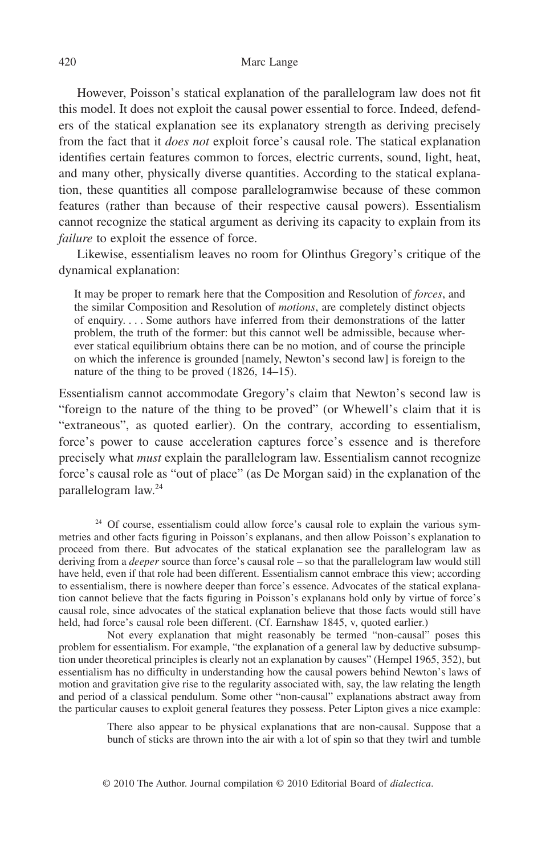However, Poisson's statical explanation of the parallelogram law does not fit this model. It does not exploit the causal power essential to force. Indeed, defenders of the statical explanation see its explanatory strength as deriving precisely from the fact that it *does not* exploit force's causal role. The statical explanation identifies certain features common to forces, electric currents, sound, light, heat, and many other, physically diverse quantities. According to the statical explanation, these quantities all compose parallelogramwise because of these common features (rather than because of their respective causal powers). Essentialism cannot recognize the statical argument as deriving its capacity to explain from its *failure* to exploit the essence of force.

Likewise, essentialism leaves no room for Olinthus Gregory's critique of the dynamical explanation:

It may be proper to remark here that the Composition and Resolution of *forces*, and the similar Composition and Resolution of *motions*, are completely distinct objects of enquiry. . . . Some authors have inferred from their demonstrations of the latter problem, the truth of the former: but this cannot well be admissible, because wherever statical equilibrium obtains there can be no motion, and of course the principle on which the inference is grounded [namely, Newton's second law] is foreign to the nature of the thing to be proved (1826, 14–15).

Essentialism cannot accommodate Gregory's claim that Newton's second law is "foreign to the nature of the thing to be proved" (or Whewell's claim that it is "extraneous", as quoted earlier). On the contrary, according to essentialism, force's power to cause acceleration captures force's essence and is therefore precisely what *must* explain the parallelogram law. Essentialism cannot recognize force's causal role as "out of place" (as De Morgan said) in the explanation of the parallelogram law.24

<sup>24</sup> Of course, essentialism could allow force's causal role to explain the various symmetries and other facts figuring in Poisson's explanans, and then allow Poisson's explanation to proceed from there. But advocates of the statical explanation see the parallelogram law as deriving from a *deeper* source than force's causal role – so that the parallelogram law would still have held, even if that role had been different. Essentialism cannot embrace this view; according to essentialism, there is nowhere deeper than force's essence. Advocates of the statical explanation cannot believe that the facts figuring in Poisson's explanans hold only by virtue of force's causal role, since advocates of the statical explanation believe that those facts would still have held, had force's causal role been different. (Cf. Earnshaw 1845, v, quoted earlier.)

Not every explanation that might reasonably be termed "non-causal" poses this problem for essentialism. For example, "the explanation of a general law by deductive subsumption under theoretical principles is clearly not an explanation by causes" (Hempel 1965, 352), but essentialism has no difficulty in understanding how the causal powers behind Newton's laws of motion and gravitation give rise to the regularity associated with, say, the law relating the length and period of a classical pendulum. Some other "non-causal" explanations abstract away from the particular causes to exploit general features they possess. Peter Lipton gives a nice example:

> There also appear to be physical explanations that are non-causal. Suppose that a bunch of sticks are thrown into the air with a lot of spin so that they twirl and tumble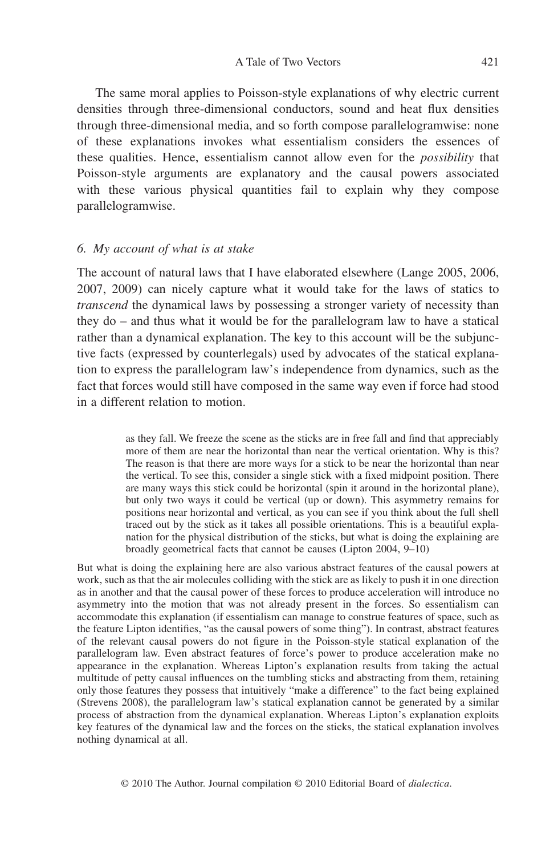#### A Tale of Two Vectors 421

The same moral applies to Poisson-style explanations of why electric current densities through three-dimensional conductors, sound and heat flux densities through three-dimensional media, and so forth compose parallelogramwise: none of these explanations invokes what essentialism considers the essences of these qualities. Hence, essentialism cannot allow even for the *possibility* that Poisson-style arguments are explanatory and the causal powers associated with these various physical quantities fail to explain why they compose parallelogramwise.

### *6. My account of what is at stake*

The account of natural laws that I have elaborated elsewhere (Lange 2005, 2006, 2007, 2009) can nicely capture what it would take for the laws of statics to *transcend* the dynamical laws by possessing a stronger variety of necessity than they do – and thus what it would be for the parallelogram law to have a statical rather than a dynamical explanation. The key to this account will be the subjunctive facts (expressed by counterlegals) used by advocates of the statical explanation to express the parallelogram law's independence from dynamics, such as the fact that forces would still have composed in the same way even if force had stood in a different relation to motion.

> as they fall. We freeze the scene as the sticks are in free fall and find that appreciably more of them are near the horizontal than near the vertical orientation. Why is this? The reason is that there are more ways for a stick to be near the horizontal than near the vertical. To see this, consider a single stick with a fixed midpoint position. There are many ways this stick could be horizontal (spin it around in the horizontal plane), but only two ways it could be vertical (up or down). This asymmetry remains for positions near horizontal and vertical, as you can see if you think about the full shell traced out by the stick as it takes all possible orientations. This is a beautiful explanation for the physical distribution of the sticks, but what is doing the explaining are broadly geometrical facts that cannot be causes (Lipton 2004, 9–10)

But what is doing the explaining here are also various abstract features of the causal powers at work, such as that the air molecules colliding with the stick are as likely to push it in one direction as in another and that the causal power of these forces to produce acceleration will introduce no asymmetry into the motion that was not already present in the forces. So essentialism can accommodate this explanation (if essentialism can manage to construe features of space, such as the feature Lipton identifies, "as the causal powers of some thing"). In contrast, abstract features of the relevant causal powers do not figure in the Poisson-style statical explanation of the parallelogram law. Even abstract features of force's power to produce acceleration make no appearance in the explanation. Whereas Lipton's explanation results from taking the actual multitude of petty causal influences on the tumbling sticks and abstracting from them, retaining only those features they possess that intuitively "make a difference" to the fact being explained (Strevens 2008), the parallelogram law's statical explanation cannot be generated by a similar process of abstraction from the dynamical explanation. Whereas Lipton's explanation exploits key features of the dynamical law and the forces on the sticks, the statical explanation involves nothing dynamical at all.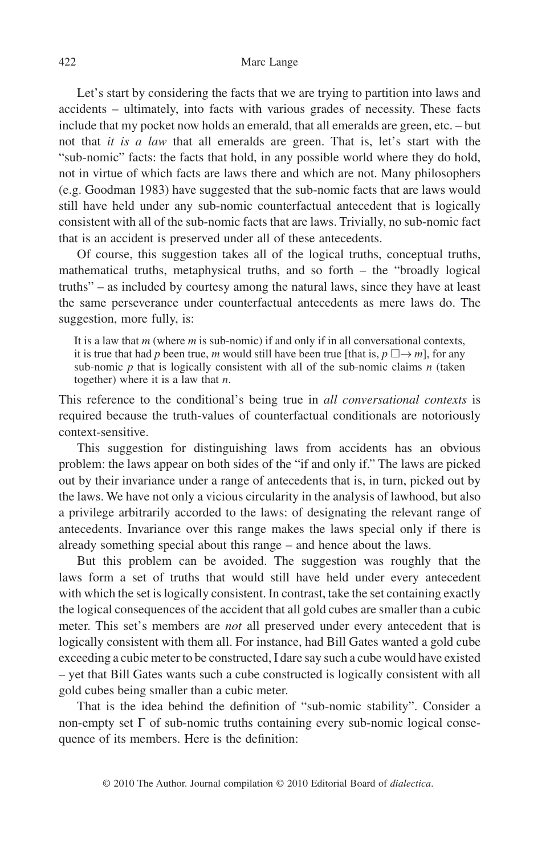Let's start by considering the facts that we are trying to partition into laws and accidents – ultimately, into facts with various grades of necessity. These facts include that my pocket now holds an emerald, that all emeralds are green, etc. – but not that *it is a law* that all emeralds are green. That is, let's start with the "sub-nomic" facts: the facts that hold, in any possible world where they do hold, not in virtue of which facts are laws there and which are not. Many philosophers (e.g. Goodman 1983) have suggested that the sub-nomic facts that are laws would still have held under any sub-nomic counterfactual antecedent that is logically consistent with all of the sub-nomic facts that are laws. Trivially, no sub-nomic fact that is an accident is preserved under all of these antecedents.

Of course, this suggestion takes all of the logical truths, conceptual truths, mathematical truths, metaphysical truths, and so forth – the "broadly logical truths" – as included by courtesy among the natural laws, since they have at least the same perseverance under counterfactual antecedents as mere laws do. The suggestion, more fully, is:

It is a law that *m* (where *m* is sub-nomic) if and only if in all conversational contexts, it is true that had *p* been true, *m* would still have been true [that is,  $p \Box \rightarrow m$ ], for any sub-nomic *p* that is logically consistent with all of the sub-nomic claims *n* (taken together) where it is a law that *n*.

This reference to the conditional's being true in *all conversational contexts* is required because the truth-values of counterfactual conditionals are notoriously context-sensitive.

This suggestion for distinguishing laws from accidents has an obvious problem: the laws appear on both sides of the "if and only if." The laws are picked out by their invariance under a range of antecedents that is, in turn, picked out by the laws. We have not only a vicious circularity in the analysis of lawhood, but also a privilege arbitrarily accorded to the laws: of designating the relevant range of antecedents. Invariance over this range makes the laws special only if there is already something special about this range – and hence about the laws.

But this problem can be avoided. The suggestion was roughly that the laws form a set of truths that would still have held under every antecedent with which the set is logically consistent. In contrast, take the set containing exactly the logical consequences of the accident that all gold cubes are smaller than a cubic meter. This set's members are *not* all preserved under every antecedent that is logically consistent with them all. For instance, had Bill Gates wanted a gold cube exceeding a cubic meter to be constructed, I dare say such a cube would have existed – yet that Bill Gates wants such a cube constructed is logically consistent with all gold cubes being smaller than a cubic meter.

That is the idea behind the definition of "sub-nomic stability". Consider a non-empty set  $\Gamma$  of sub-nomic truths containing every sub-nomic logical consequence of its members. Here is the definition: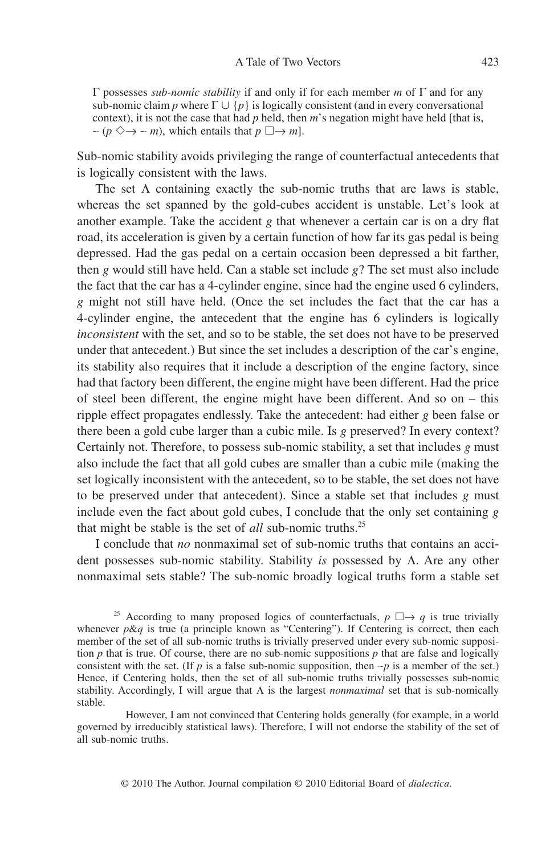$\Gamma$  possesses *sub-nomic stability* if and only if for each member *m* of  $\Gamma$  and for any sub-nomic claim *p* where  $\Gamma \cup \{p\}$  is logically consistent (and in every conversational context), it is not the case that had *p* held, then *m*'s negation might have held [that is,  $\sim (p \diamond \rightarrow \sim m)$ , which entails that  $p \square \rightarrow m$ .

Sub-nomic stability avoids privileging the range of counterfactual antecedents that is logically consistent with the laws.

The set  $\Lambda$  containing exactly the sub-nomic truths that are laws is stable, whereas the set spanned by the gold-cubes accident is unstable. Let's look at another example. Take the accident *g* that whenever a certain car is on a dry flat road, its acceleration is given by a certain function of how far its gas pedal is being depressed. Had the gas pedal on a certain occasion been depressed a bit farther, then *g* would still have held. Can a stable set include *g*? The set must also include the fact that the car has a 4-cylinder engine, since had the engine used 6 cylinders, *g* might not still have held. (Once the set includes the fact that the car has a 4-cylinder engine, the antecedent that the engine has 6 cylinders is logically *inconsistent* with the set, and so to be stable, the set does not have to be preserved under that antecedent.) But since the set includes a description of the car's engine, its stability also requires that it include a description of the engine factory, since had that factory been different, the engine might have been different. Had the price of steel been different, the engine might have been different. And so on – this ripple effect propagates endlessly. Take the antecedent: had either *g* been false or there been a gold cube larger than a cubic mile. Is *g* preserved? In every context? Certainly not. Therefore, to possess sub-nomic stability, a set that includes *g* must also include the fact that all gold cubes are smaller than a cubic mile (making the set logically inconsistent with the antecedent, so to be stable, the set does not have to be preserved under that antecedent). Since a stable set that includes *g* must include even the fact about gold cubes, I conclude that the only set containing *g* that might be stable is the set of *all* sub-nomic truths.25

I conclude that *no* nonmaximal set of sub-nomic truths that contains an accident possesses sub-nomic stability. Stability *is* possessed by  $\Lambda$ . Are any other nonmaximal sets stable? The sub-nomic broadly logical truths form a stable set

<sup>25</sup> According to many proposed logics of counterfactuals,  $p \Box \rightarrow q$  is true trivially whenever  $p \& q$  is true (a principle known as "Centering"). If Centering is correct, then each member of the set of all sub-nomic truths is trivially preserved under every sub-nomic supposition  $p$  that is true. Of course, there are no sub-nomic suppositions  $p$  that are false and logically consistent with the set. (If  $p$  is a false sub-nomic supposition, then  $\neg p$  is a member of the set.) Hence, if Centering holds, then the set of all sub-nomic truths trivially possesses sub-nomic stability. Accordingly, I will argue that  $\Lambda$  is the largest *nonmaximal* set that is sub-nomically stable.

However, I am not convinced that Centering holds generally (for example, in a world governed by irreducibly statistical laws). Therefore, I will not endorse the stability of the set of all sub-nomic truths.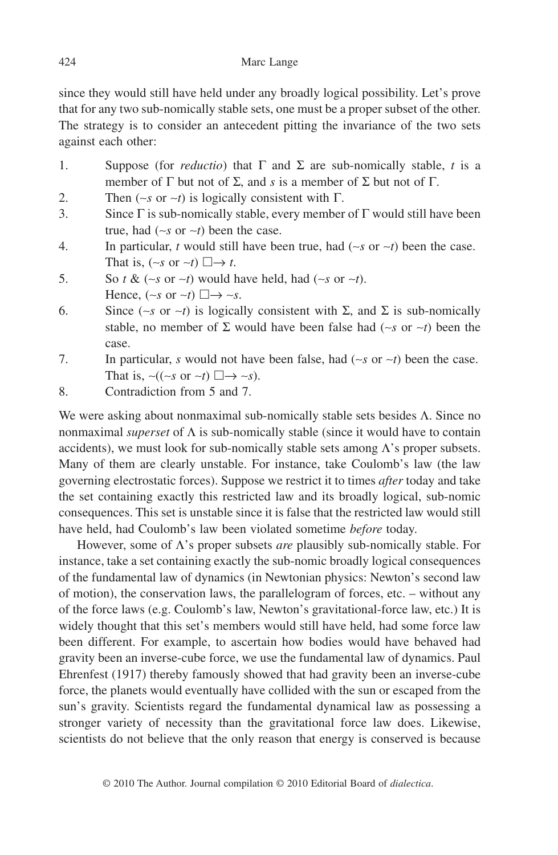since they would still have held under any broadly logical possibility. Let's prove that for any two sub-nomically stable sets, one must be a proper subset of the other. The strategy is to consider an antecedent pitting the invariance of the two sets against each other:

- 1. Suppose (for *reductio*) that  $\Gamma$  and  $\Sigma$  are sub-nomically stable, *t* is a member of  $\Gamma$  but not of  $\Sigma$ , and *s* is a member of  $\Sigma$  but not of  $\Gamma$ .
- 2. Then  $(\sim s \text{ or } \sim t)$  is logically consistent with  $\Gamma$ .
- 3. Since  $\Gamma$  is sub-nomically stable, every member of  $\Gamma$  would still have been true, had  $(-s \text{ or } -t)$  been the case.
- 4. In particular, *t* would still have been true, had  $(\sim s \text{ or } \sim t)$  been the case. That is,  $(\neg s \text{ or } \neg t) \square \rightarrow t$ .
- 5. So *t* &  $(\sim s \text{ or } \sim t)$  would have held, had  $(\sim s \text{ or } \sim t)$ .
- Hence,  $(\neg s \text{ or } \neg t) \square \rightarrow \neg s$ .
- 6. Since ( $-s$  or  $-t$ ) is logically consistent with  $\Sigma$ , and  $\Sigma$  is sub-nomically stable, no member of  $\Sigma$  would have been false had ( $\sim s$  or  $\sim t$ ) been the case.
- 7. In particular, *s* would not have been false, had (~*s* or ~*t*) been the case. That is,  $\sim ((\sim s \text{ or } \sim t) \square \rightarrow \sim s).$
- 8. Contradiction from 5 and 7.

We were asking about nonmaximal sub-nomically stable sets besides  $\Lambda$ . Since no nonmaximal *superset* of  $\Lambda$  is sub-nomically stable (since it would have to contain accidents), we must look for sub-nomically stable sets among  $\Lambda$ 's proper subsets. Many of them are clearly unstable. For instance, take Coulomb's law (the law governing electrostatic forces). Suppose we restrict it to times *after* today and take the set containing exactly this restricted law and its broadly logical, sub-nomic consequences. This set is unstable since it is false that the restricted law would still have held, had Coulomb's law been violated sometime *before* today.

However, some of  $\Lambda$ 's proper subsets *are* plausibly sub-nomically stable. For instance, take a set containing exactly the sub-nomic broadly logical consequences of the fundamental law of dynamics (in Newtonian physics: Newton's second law of motion), the conservation laws, the parallelogram of forces, etc. – without any of the force laws (e.g. Coulomb's law, Newton's gravitational-force law, etc.) It is widely thought that this set's members would still have held, had some force law been different. For example, to ascertain how bodies would have behaved had gravity been an inverse-cube force, we use the fundamental law of dynamics. Paul Ehrenfest (1917) thereby famously showed that had gravity been an inverse-cube force, the planets would eventually have collided with the sun or escaped from the sun's gravity. Scientists regard the fundamental dynamical law as possessing a stronger variety of necessity than the gravitational force law does. Likewise, scientists do not believe that the only reason that energy is conserved is because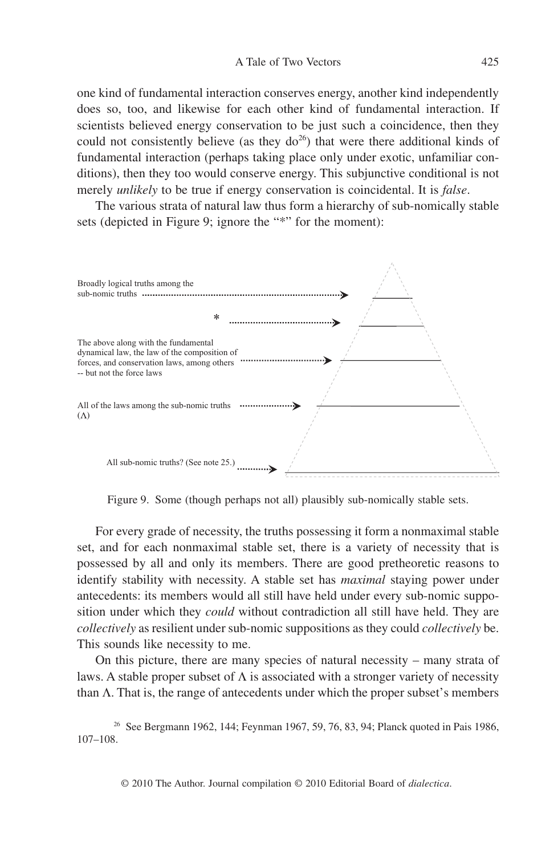one kind of fundamental interaction conserves energy, another kind independently does so, too, and likewise for each other kind of fundamental interaction. If scientists believed energy conservation to be just such a coincidence, then they could not consistently believe (as they  $d\sigma^{26}$ ) that were there additional kinds of fundamental interaction (perhaps taking place only under exotic, unfamiliar conditions), then they too would conserve energy. This subjunctive conditional is not merely *unlikely* to be true if energy conservation is coincidental. It is *false*.

The various strata of natural law thus form a hierarchy of sub-nomically stable sets (depicted in Figure 9; ignore the "\*" for the moment):



Figure 9. Some (though perhaps not all) plausibly sub-nomically stable sets.

For every grade of necessity, the truths possessing it form a nonmaximal stable set, and for each nonmaximal stable set, there is a variety of necessity that is possessed by all and only its members. There are good pretheoretic reasons to identify stability with necessity. A stable set has *maximal* staying power under antecedents: its members would all still have held under every sub-nomic supposition under which they *could* without contradiction all still have held. They are *collectively* as resilient under sub-nomic suppositions as they could *collectively* be. This sounds like necessity to me.

On this picture, there are many species of natural necessity – many strata of laws. A stable proper subset of  $\Lambda$  is associated with a stronger variety of necessity than  $\Lambda$ . That is, the range of antecedents under which the proper subset's members

<sup>26</sup> See Bergmann 1962, 144; Feynman 1967, 59, 76, 83, 94; Planck quoted in Pais 1986, 107–108.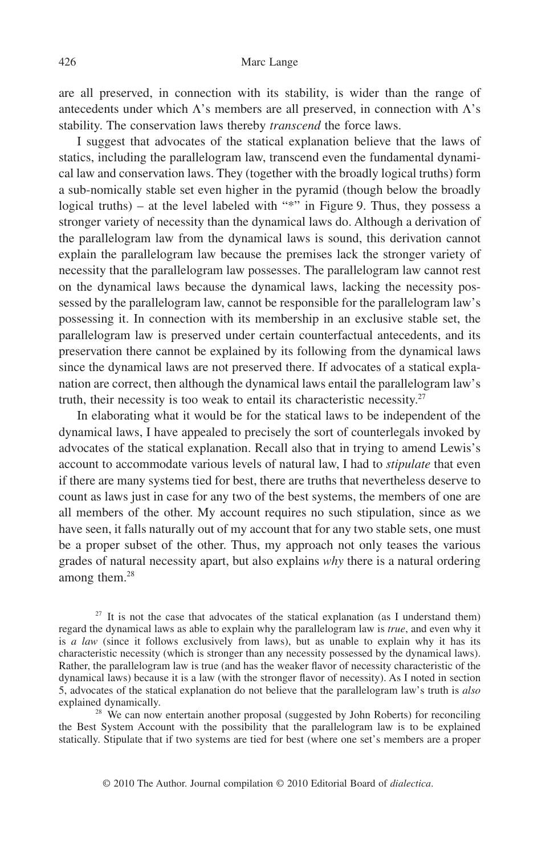#### 426 Marc Lange

are all preserved, in connection with its stability, is wider than the range of antecedents under which  $\Lambda$ 's members are all preserved, in connection with  $\Lambda$ 's stability. The conservation laws thereby *transcend* the force laws.

I suggest that advocates of the statical explanation believe that the laws of statics, including the parallelogram law, transcend even the fundamental dynamical law and conservation laws. They (together with the broadly logical truths) form a sub-nomically stable set even higher in the pyramid (though below the broadly logical truths) – at the level labeled with "\*" in Figure 9. Thus, they possess a stronger variety of necessity than the dynamical laws do. Although a derivation of the parallelogram law from the dynamical laws is sound, this derivation cannot explain the parallelogram law because the premises lack the stronger variety of necessity that the parallelogram law possesses. The parallelogram law cannot rest on the dynamical laws because the dynamical laws, lacking the necessity possessed by the parallelogram law, cannot be responsible for the parallelogram law's possessing it. In connection with its membership in an exclusive stable set, the parallelogram law is preserved under certain counterfactual antecedents, and its preservation there cannot be explained by its following from the dynamical laws since the dynamical laws are not preserved there. If advocates of a statical explanation are correct, then although the dynamical laws entail the parallelogram law's truth, their necessity is too weak to entail its characteristic necessity.<sup>27</sup>

In elaborating what it would be for the statical laws to be independent of the dynamical laws, I have appealed to precisely the sort of counterlegals invoked by advocates of the statical explanation. Recall also that in trying to amend Lewis's account to accommodate various levels of natural law, I had to *stipulate* that even if there are many systems tied for best, there are truths that nevertheless deserve to count as laws just in case for any two of the best systems, the members of one are all members of the other. My account requires no such stipulation, since as we have seen, it falls naturally out of my account that for any two stable sets, one must be a proper subset of the other. Thus, my approach not only teases the various grades of natural necessity apart, but also explains *why* there is a natural ordering among them.<sup>28</sup>

 $27$  It is not the case that advocates of the statical explanation (as I understand them) regard the dynamical laws as able to explain why the parallelogram law is *true*, and even why it is *a law* (since it follows exclusively from laws), but as unable to explain why it has its characteristic necessity (which is stronger than any necessity possessed by the dynamical laws). Rather, the parallelogram law is true (and has the weaker flavor of necessity characteristic of the dynamical laws) because it is a law (with the stronger flavor of necessity). As I noted in section 5, advocates of the statical explanation do not believe that the parallelogram law's truth is *also* explained dynamically.

<sup>28</sup> We can now entertain another proposal (suggested by John Roberts) for reconciling the Best System Account with the possibility that the parallelogram law is to be explained statically. Stipulate that if two systems are tied for best (where one set's members are a proper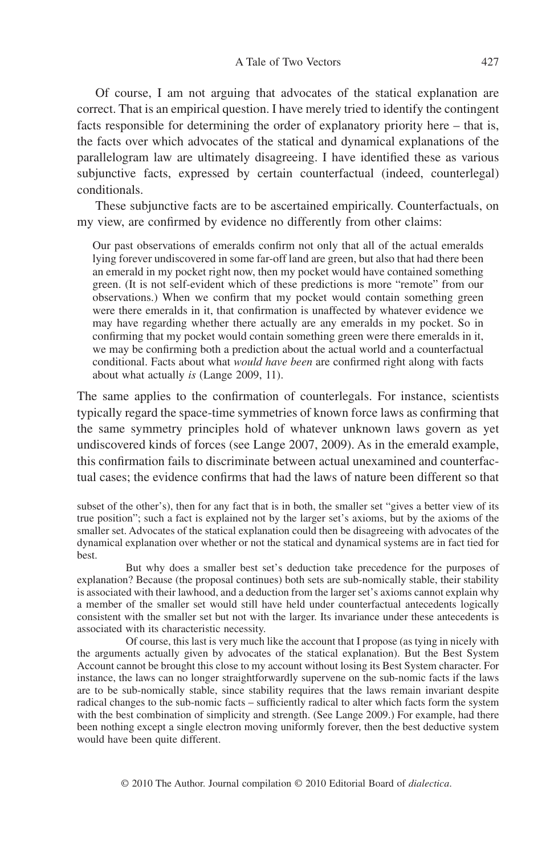Of course, I am not arguing that advocates of the statical explanation are correct. That is an empirical question. I have merely tried to identify the contingent facts responsible for determining the order of explanatory priority here – that is, the facts over which advocates of the statical and dynamical explanations of the parallelogram law are ultimately disagreeing. I have identified these as various subjunctive facts, expressed by certain counterfactual (indeed, counterlegal) conditionals.

These subjunctive facts are to be ascertained empirically. Counterfactuals, on my view, are confirmed by evidence no differently from other claims:

Our past observations of emeralds confirm not only that all of the actual emeralds lying forever undiscovered in some far-off land are green, but also that had there been an emerald in my pocket right now, then my pocket would have contained something green. (It is not self-evident which of these predictions is more "remote" from our observations.) When we confirm that my pocket would contain something green were there emeralds in it, that confirmation is unaffected by whatever evidence we may have regarding whether there actually are any emeralds in my pocket. So in confirming that my pocket would contain something green were there emeralds in it, we may be confirming both a prediction about the actual world and a counterfactual conditional. Facts about what *would have been* are confirmed right along with facts about what actually *is* (Lange 2009, 11).

The same applies to the confirmation of counterlegals. For instance, scientists typically regard the space-time symmetries of known force laws as confirming that the same symmetry principles hold of whatever unknown laws govern as yet undiscovered kinds of forces (see Lange 2007, 2009). As in the emerald example, this confirmation fails to discriminate between actual unexamined and counterfactual cases; the evidence confirms that had the laws of nature been different so that

subset of the other's), then for any fact that is in both, the smaller set "gives a better view of its true position"; such a fact is explained not by the larger set's axioms, but by the axioms of the smaller set. Advocates of the statical explanation could then be disagreeing with advocates of the dynamical explanation over whether or not the statical and dynamical systems are in fact tied for best.

But why does a smaller best set's deduction take precedence for the purposes of explanation? Because (the proposal continues) both sets are sub-nomically stable, their stability is associated with their lawhood, and a deduction from the larger set's axioms cannot explain why a member of the smaller set would still have held under counterfactual antecedents logically consistent with the smaller set but not with the larger. Its invariance under these antecedents is associated with its characteristic necessity.

Of course, this last is very much like the account that I propose (as tying in nicely with the arguments actually given by advocates of the statical explanation). But the Best System Account cannot be brought this close to my account without losing its Best System character. For instance, the laws can no longer straightforwardly supervene on the sub-nomic facts if the laws are to be sub-nomically stable, since stability requires that the laws remain invariant despite radical changes to the sub-nomic facts – sufficiently radical to alter which facts form the system with the best combination of simplicity and strength. (See Lange 2009.) For example, had there been nothing except a single electron moving uniformly forever, then the best deductive system would have been quite different.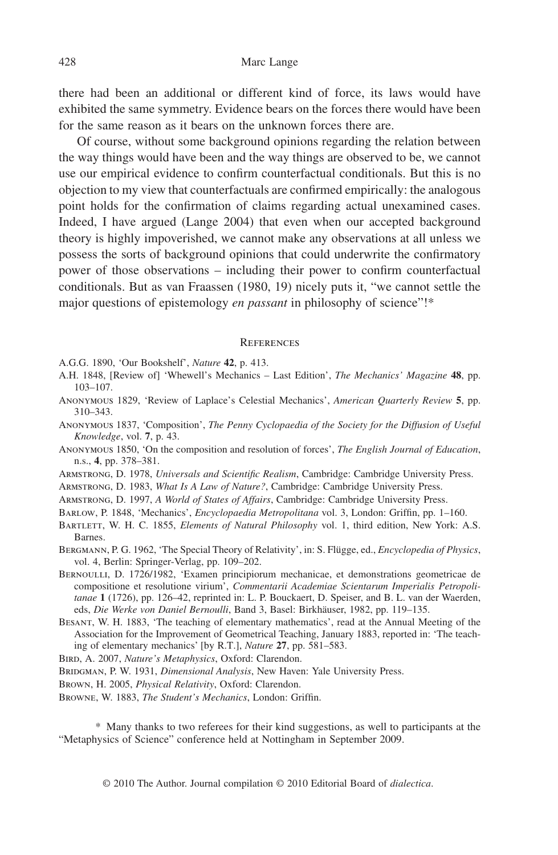there had been an additional or different kind of force, its laws would have exhibited the same symmetry. Evidence bears on the forces there would have been for the same reason as it bears on the unknown forces there are.

Of course, without some background opinions regarding the relation between the way things would have been and the way things are observed to be, we cannot use our empirical evidence to confirm counterfactual conditionals. But this is no objection to my view that counterfactuals are confirmed empirically: the analogous point holds for the confirmation of claims regarding actual unexamined cases. Indeed, I have argued (Lange 2004) that even when our accepted background theory is highly impoverished, we cannot make any observations at all unless we possess the sorts of background opinions that could underwrite the confirmatory power of those observations – including their power to confirm counterfactual conditionals. But as van Fraassen (1980, 19) nicely puts it, "we cannot settle the major questions of epistemology *en passant* in philosophy of science"!\*

#### **REFERENCES**

A.G.G. 1890, 'Our Bookshelf', *Nature* **42**, p. 413.

- A.H. 1848, [Review of] 'Whewell's Mechanics Last Edition', *The Mechanics' Magazine* **48**, pp. 103–107.
- Anonymous 1829, 'Review of Laplace's Celestial Mechanics', *American Quarterly Review* **5**, pp. 310–343.
- Anonymous 1837, 'Composition', *The Penny Cyclopaedia of the Society for the Diffusion of Useful Knowledge*, vol. **7**, p. 43.
- Anonymous 1850, 'On the composition and resolution of forces', *The English Journal of Education*, n.s., **4**, pp. 378–381.
- Armstrong, D. 1978, *Universals and Scientific Realism*, Cambridge: Cambridge University Press.

Armstrong, D. 1983, *What Is A Law of Nature?*, Cambridge: Cambridge University Press.

- Armstrong, D. 1997, *A World of States of Affairs*, Cambridge: Cambridge University Press.
- Barlow, P. 1848, 'Mechanics', *Encyclopaedia Metropolitana* vol. 3, London: Griffin, pp. 1–160.
- Bartlett, W. H. C. 1855, *Elements of Natural Philosophy* vol. 1, third edition, New York: A.S. Barnes.
- Bergmann, P. G. 1962, 'The Special Theory of Relativity', in: S. Flügge, ed., *Encyclopedia of Physics*, vol. 4, Berlin: Springer-Verlag, pp. 109–202.
- Bernoulli, D. 1726/1982, 'Examen principiorum mechanicae, et demonstrations geometricae de compositione et resolutione virium', *Commentarii Academiae Scientarum Imperialis Petropolitanae* **1** (1726), pp. 126–42, reprinted in: L. P. Bouckaert, D. Speiser, and B. L. van der Waerden, eds, *Die Werke von Daniel Bernoulli*, Band 3, Basel: Birkhäuser, 1982, pp. 119–135.
- Besant, W. H. 1883, 'The teaching of elementary mathematics', read at the Annual Meeting of the Association for the Improvement of Geometrical Teaching, January 1883, reported in: 'The teaching of elementary mechanics' [by R.T.], *Nature* **27**, pp. 581–583.

Bird, A. 2007, *Nature's Metaphysics*, Oxford: Clarendon.

Bridgman, P. W. 1931, *Dimensional Analysis*, New Haven: Yale University Press.

Brown, H. 2005, *Physical Relativity*, Oxford: Clarendon.

Browne, W. 1883, *The Student's Mechanics*, London: Griffin.

\* Many thanks to two referees for their kind suggestions, as well to participants at the "Metaphysics of Science" conference held at Nottingham in September 2009.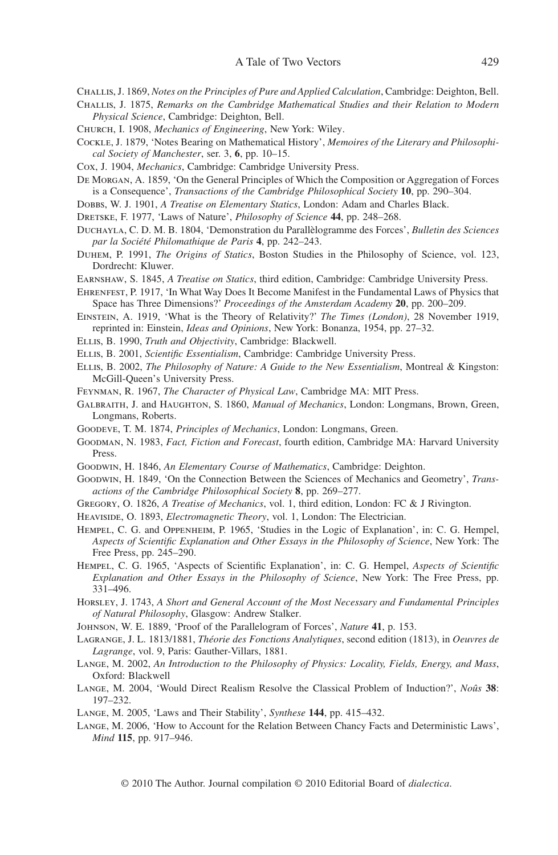Challis, J. 1869, *Notes on the Principles of Pure and Applied Calculation*, Cambridge: Deighton, Bell.

- Challis, J. 1875, *Remarks on the Cambridge Mathematical Studies and their Relation to Modern Physical Science*, Cambridge: Deighton, Bell.
- Church, I. 1908, *Mechanics of Engineering*, New York: Wiley.
- Cockle, J. 1879, 'Notes Bearing on Mathematical History', *Memoires of the Literary and Philosophical Society of Manchester*, ser. 3, **6**, pp. 10–15.
- Cox, J. 1904, *Mechanics*, Cambridge: Cambridge University Press.
- De Morgan, A. 1859, 'On the General Principles of Which the Composition or Aggregation of Forces is a Consequence', *Transactions of the Cambridge Philosophical Society* **10**, pp. 290–304.
- Dobbs, W. J. 1901, *A Treatise on Elementary Statics*, London: Adam and Charles Black.
- Dretske, F. 1977, 'Laws of Nature', *Philosophy of Science* **44**, pp. 248–268.
- Duchayla, C. D. M. B. 1804, 'Demonstration du Parallèlogramme des Forces', *Bulletin des Sciences par la Société Philomathique de Paris* **4**, pp. 242–243.
- Duhem, P. 1991, *The Origins of Statics*, Boston Studies in the Philosophy of Science, vol. 123, Dordrecht: Kluwer.
- Earnshaw, S. 1845, *A Treatise on Statics*, third edition, Cambridge: Cambridge University Press.
- Ehrenfest, P. 1917, 'In What Way Does It Become Manifest in the Fundamental Laws of Physics that Space has Three Dimensions?' *Proceedings of the Amsterdam Academy* **20**, pp. 200–209.
- Einstein, A. 1919, 'What is the Theory of Relativity?' *The Times (London)*, 28 November 1919, reprinted in: Einstein, *Ideas and Opinions*, New York: Bonanza, 1954, pp. 27–32.
- Ellis, B. 1990, *Truth and Objectivity*, Cambridge: Blackwell.
- Ellis, B. 2001, *Scientific Essentialism*, Cambridge: Cambridge University Press.
- Ellis, B. 2002, *The Philosophy of Nature: A Guide to the New Essentialism*, Montreal & Kingston: McGill-Queen's University Press.
- Feynman, R. 1967, *The Character of Physical Law*, Cambridge MA: MIT Press.
- Galbraith, J. and Haughton, S. 1860, *Manual of Mechanics*, London: Longmans, Brown, Green, Longmans, Roberts.
- Goodeve, T. M. 1874, *Principles of Mechanics*, London: Longmans, Green.
- Goodman, N. 1983, *Fact, Fiction and Forecast*, fourth edition, Cambridge MA: Harvard University Press.
- Goodwin, H. 1846, *An Elementary Course of Mathematics*, Cambridge: Deighton.
- Goodwin, H. 1849, 'On the Connection Between the Sciences of Mechanics and Geometry', *Transactions of the Cambridge Philosophical Society* **8**, pp. 269–277.
- Gregory, O. 1826, *A Treatise of Mechanics*, vol. 1, third edition, London: FC & J Rivington.
- Heaviside, O. 1893, *Electromagnetic Theory*, vol. 1, London: The Electrician.
- Hempel, C. G. and Oppenheim, P. 1965, 'Studies in the Logic of Explanation', in: C. G. Hempel, *Aspects of Scientific Explanation and Other Essays in the Philosophy of Science*, New York: The Free Press, pp. 245–290.
- Hempel, C. G. 1965, 'Aspects of Scientific Explanation', in: C. G. Hempel, *Aspects of Scientific Explanation and Other Essays in the Philosophy of Science*, New York: The Free Press, pp. 331–496.
- Horsley, J. 1743, *A Short and General Account of the Most Necessary and Fundamental Principles of Natural Philosophy*, Glasgow: Andrew Stalker.
- Johnson, W. E. 1889, 'Proof of the Parallelogram of Forces', *Nature* **41**, p. 153.
- Lagrange, J. L. 1813/1881, *Théorie des Fonctions Analytiques*, second edition (1813), in *Oeuvres de Lagrange*, vol. 9, Paris: Gauther-Villars, 1881.
- Lange, M. 2002, *An Introduction to the Philosophy of Physics: Locality, Fields, Energy, and Mass*, Oxford: Blackwell
- Lange, M. 2004, 'Would Direct Realism Resolve the Classical Problem of Induction?', *Noûs* **38**: 197–232.
- Lange, M. 2005, 'Laws and Their Stability', *Synthese* **144**, pp. 415–432.
- Lange, M. 2006, 'How to Account for the Relation Between Chancy Facts and Deterministic Laws', *Mind* **115**, pp. 917–946.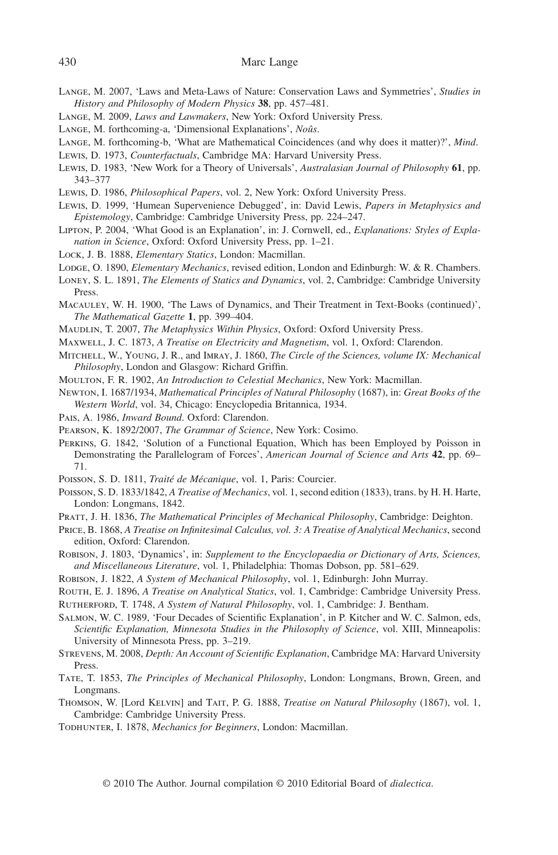- Lange, M. 2007, 'Laws and Meta-Laws of Nature: Conservation Laws and Symmetries', *Studies in History and Philosophy of Modern Physics* **38**, pp. 457–481.
- Lange, M. 2009, *Laws and Lawmakers*, New York: Oxford University Press.
- Lange, M. forthcoming-a, 'Dimensional Explanations', *Noûs*.

- Lewis, D. 1973, *Counterfactuals*, Cambridge MA: Harvard University Press.
- Lewis, D. 1983, 'New Work for a Theory of Universals', *Australasian Journal of Philosophy* **61**, pp. 343–377
- Lewis, D. 1986, *Philosophical Papers*, vol. 2, New York: Oxford University Press.
- Lewis, D. 1999, 'Humean Supervenience Debugged', in: David Lewis, *Papers in Metaphysics and Epistemology*, Cambridge: Cambridge University Press, pp. 224–247.
- Lipton, P. 2004, 'What Good is an Explanation', in: J. Cornwell, ed., *Explanations: Styles of Explanation in Science*, Oxford: Oxford University Press, pp. 1–21.
- Lock, J. B. 1888, *Elementary Statics*, London: Macmillan.
- Lodge, O. 1890, *Elementary Mechanics*, revised edition, London and Edinburgh: W. & R. Chambers.
- Loney, S. L. 1891, *The Elements of Statics and Dynamics*, vol. 2, Cambridge: Cambridge University Press.
- Macauley, W. H. 1900, 'The Laws of Dynamics, and Their Treatment in Text-Books (continued)', *The Mathematical Gazette* **1**, pp. 399–404.
- Maudlin, T. 2007, *The Metaphysics Within Physics*, Oxford: Oxford University Press.
- Maxwell, J. C. 1873, *A Treatise on Electricity and Magnetism*, vol. 1, Oxford: Clarendon.
- Mitchell, W., Young, J. R., and Imray, J. 1860, *The Circle of the Sciences, volume IX: Mechanical Philosophy*, London and Glasgow: Richard Griffin.
- Moulton, F. R. 1902, *An Introduction to Celestial Mechanics*, New York: Macmillan.
- Newton, I. 1687/1934, *Mathematical Principles of Natural Philosophy* (1687), in: *Great Books of the Western World*, vol. 34, Chicago: Encyclopedia Britannica, 1934.
- Pais, A. 1986, *Inward Bound*. Oxford: Clarendon.
- Pearson, K. 1892/2007, *The Grammar of Science*, New York: Cosimo.

Perkins, G. 1842, 'Solution of a Functional Equation, Which has been Employed by Poisson in Demonstrating the Parallelogram of Forces', *American Journal of Science and Arts* **42**, pp. 69– 71.

- Poisson, S. D. 1811, *Traité de Mécanique*, vol. 1, Paris: Courcier.
- Poisson, S. D. 1833/1842, *A Treatise of Mechanics*, vol. 1, second edition (1833), trans. by H. H. Harte, London: Longmans, 1842.
- Pratt, J. H. 1836, *The Mathematical Principles of Mechanical Philosophy*, Cambridge: Deighton.
- Price, B. 1868, *A Treatise on Infinitesimal Calculus, vol. 3: A Treatise of Analytical Mechanics*, second edition, Oxford: Clarendon.
- Robison, J. 1803, 'Dynamics', in: *Supplement to the Encyclopaedia or Dictionary of Arts, Sciences, and Miscellaneous Literature*, vol. 1, Philadelphia: Thomas Dobson, pp. 581–629.
- Robison, J. 1822, *A System of Mechanical Philosophy*, vol. 1, Edinburgh: John Murray.
- Routh, E. J. 1896, *A Treatise on Analytical Statics*, vol. 1, Cambridge: Cambridge University Press.
- Rutherford, T. 1748, *A System of Natural Philosophy*, vol. 1, Cambridge: J. Bentham.
- Salmon, W. C. 1989, 'Four Decades of Scientific Explanation', in P. Kitcher and W. C. Salmon, eds, *Scientific Explanation, Minnesota Studies in the Philosophy of Science*, vol. XIII, Minneapolis: University of Minnesota Press, pp. 3–219.
- Strevens, M. 2008, *Depth: An Account of Scientific Explanation*, Cambridge MA: Harvard University Press.
- Tate, T. 1853, *The Principles of Mechanical Philosophy*, London: Longmans, Brown, Green, and Longmans.
- Thomson, W. [Lord Kelvin] and Tait, P. G. 1888, *Treatise on Natural Philosophy* (1867), vol. 1, Cambridge: Cambridge University Press.
- Todhunter, I. 1878, *Mechanics for Beginners*, London: Macmillan.

Lange, M. forthcoming-b, 'What are Mathematical Coincidences (and why does it matter)?', *Mind*.